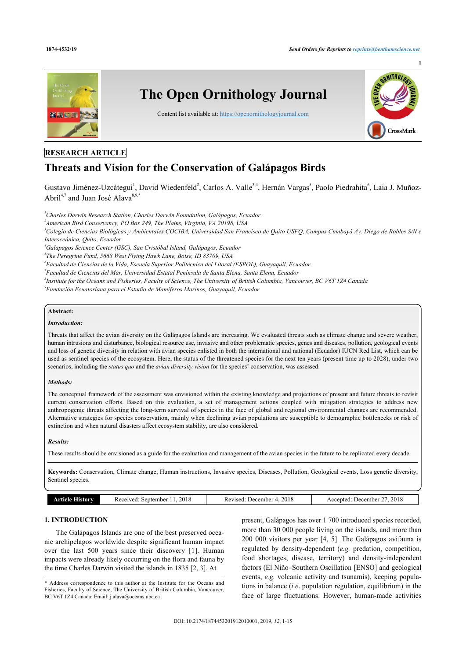

## **RESEARCH ARTICLE**

# **Threats and Vision for the Conservation of Galápagos Birds**

Gustavo Jiménez-Uzcátegui<sup>[1](#page-0-0)</sup>, David Wiedenfeld<sup>[2](#page-0-1)</sup>, Carlos A. Valle<sup>[3](#page-0-2),[4](#page-0-3)</sup>, Hernán Vargas<sup>[5](#page-0-4)</sup>, Paolo Piedrahita<sup>[6](#page-0-5)</sup>, Laia J. Muñoz-Abril<sup>[4,](#page-0-3)[7](#page-0-6)</sup> and Juan José Alava<sup>[8](#page-0-7),[9](#page-0-8),[\\*](#page-0-9)</sup>

<span id="page-0-1"></span><span id="page-0-0"></span>*<sup>1</sup>Charles Darwin Research Station, Charles Darwin Foundation, Galápagos, Ecuador*

*2 American Bird Conservancy, PO Box 249, The Plains, Virginia, VA 20198, USA*

<span id="page-0-2"></span>*<sup>3</sup>Colegio de Ciencias Biológicas y Ambientales COCIBA, Universidad San Francisco de Quito USFQ, Campus Cumbayá Av. Diego de Robles S/N e Interoceánica, Quito, Ecuador*

<span id="page-0-4"></span><span id="page-0-3"></span>*<sup>4</sup>Galapagos Science Center (GSC), San Cristóbal Island, Galápagos, Ecuador*

*5 The Peregrine Fund, 5668 West Flying Hawk Lane, Boise, ID 83709, USA*

<span id="page-0-5"></span>*6 Facultad de Ciencias de la Vida, Escuela Superior Politécnica del Litoral (ESPOL), Guayaquil, Ecuador*

<span id="page-0-6"></span>*7 Facultad de Ciencias del Mar, Universidad Estatal Península de Santa Elena, Santa Elena, Ecuador*

<span id="page-0-7"></span>*8 Institute for the Oceans and Fisheries, Faculty of Science, The University of British Columbia, Vancouver, BC V6T 1Z4 Canada*

<span id="page-0-8"></span>*9 Fundación Ecuatoriana para el Estudio de Mamíferos Marinos, Guayaquil, Ecuador*

## **Abstract:**

## *Introduction:*

Threats that affect the avian diversity on the Galápagos Islands are increasing. We evaluated threats such as climate change and severe weather, human intrusions and disturbance, biological resource use, invasive and other problematic species, genes and diseases, pollution, geological events and loss of genetic diversity in relation with avian species enlisted in both the international and national (Ecuador) IUCN Red List, which can be used as sentinel species of the ecosystem. Here, the status of the threatened species for the next ten years (present time up to 2028), under two scenarios, including the *status quo* and the *avian diversity vision* for the species' conservation, was assessed.

### *Methods:*

The conceptual framework of the assessment was envisioned within the existing knowledge and projections of present and future threats to revisit current conservation efforts. Based on this evaluation, a set of management actions coupled with mitigation strategies to address new anthropogenic threats affecting the long-term survival of species in the face of global and regional environmental changes are recommended. Alternative strategies for species conservation, mainly when declining avian populations are susceptible to demographic bottlenecks or risk of extinction and when natural disasters affect ecosystem stability, are also considered.

### *Results:*

These results should be envisioned as a guide for the evaluation and management of the avian species in the future to be replicated every decade.

**Keywords:** Conservation, Climate change, Human instructions, Invasive species, Diseases, Pollution, Geological events, Loss genetic diversity, Sentinel species.

|  | <b>Article History</b> | Received: September 11, 2018 | Revised: December 4, 2018 | Accepted: December 27, 2018 |
|--|------------------------|------------------------------|---------------------------|-----------------------------|
|--|------------------------|------------------------------|---------------------------|-----------------------------|

## **1. INTRODUCTION**

The Galápagos Islands are one of the best preserved oceanic archipelagos worldwide despite significant human impact over the last 500 years since their discovery [\[1](#page-12-0)]. Human impacts were already likely occurring on the flora and fauna by the time Charles Darwin visited the islands in 1835 [\[2,](#page-12-1) [3\]](#page-12-2). At

<span id="page-0-9"></span>\* Address correspondence to this author at the Institute for the Oceans and Fisheries, Faculty of Science, The University of British Columbia, Vancouver, BC V6T 1Z4 Canada; Email: [j.alava@oceans.ubc.ca](mailto:j.alava@oceans.ubc.ca)

present, Galápagos has over 1 700 introduced species recorded, more than 30 000 people living on the islands, and more than 200 000 visitors per year[[4](#page-12-3), [5\]](#page-12-4). The Galápagos avifauna is regulated by density-dependent (*e.g.* predation, competition, food shortages, disease, territory) and density-independent factors (El Niño–Southern Oscillation [ENSO] and geological events, *e.g.* volcanic activity and tsunamis), keeping populations in balance (*i.e*. population regulation, equilibrium) in the face of large fluctuations. However, human-made activities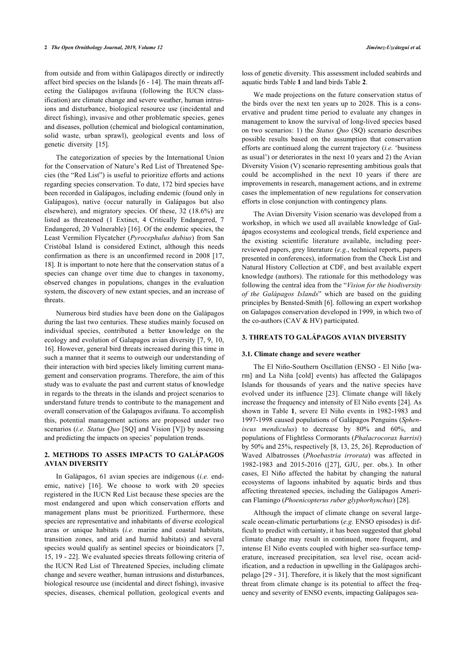from outside and from within Galápagos directly or indirectly affect bird species on the Islands [[6](#page-12-5) - [14](#page-12-6)]. The main threats affecting the Galápagos avifauna (following the IUCN classification) are climate change and severe weather, human intrusions and disturbance, biological resource use (incidental and direct fishing), invasive and other problematic species, genes and diseases, pollution (chemical and biological contamination, solid waste, urban sprawl), geological events and loss of genetic diversity[[15\]](#page-12-7).

The categorization of species by the International Union for the Conservation of Nature's Red List of Threatened Species (the "Red List") is useful to prioritize efforts and actions regarding species conservation. To date, 172 bird species have been recorded in Galápagos, including endemic (found only in Galápagos), native (occur naturally in Galápagos but also elsewhere), and migratory species. Of these, 32 (18.6%) are listed as threatened (1 Extinct, 4 Critically Endangered, 7 Endangered, 20 Vulnerable) [[16\]](#page-12-8). Of the endemic species, the Least Vermilion Flycatcher (*Pyrocephalus dubius*) from San Cristóbal Island is considered Extinct, although this needs confirmation as there is an unconfirmed record in 2008 [[17](#page-12-9), [18\]](#page-12-10). It is important to note here that the conservation status of a species can change over time due to changes in taxonomy, observed changes in populations, changes in the evaluation system, the discovery of new extant species, and an increase of threats.

Numerous bird studies have been done on the Galápagos during the last two centuries. These studies mainly focused on individual species, contributed a better knowledge on the ecology and evolution of Galapagos avian diversity [\[7](#page-12-11), [9,](#page-12-12) [10](#page-12-13), [16\]](#page-12-8). However, general bird threats increased during this time in such a manner that it seems to outweigh our understanding of their interaction with bird species likely limiting current management and conservation programs. Therefore, the aim of this study was to evaluate the past and current status of knowledge in regards to the threats in the islands and project scenarios to understand future trends to contribute to the management and overall conservation of the Galapagos avifauna. To accomplish this, potential management actions are proposed under two scenarios (*i.e. Status Quo* [SQ] and Vision [V]) by assessing and predicting the impacts on species' population trends.

## **2. METHODS TO ASSES IMPACTS TO GALÁPAGOS AVIAN DIVERSITY**

In Galápagos, 61 avian species are indigenous (*i.e.* endemic, native)[[16\]](#page-12-8). We choose to work with 20 species registered in the IUCN Red List because these species are the most endangered and upon which conservation efforts and management plans must be prioritized. Furthermore, these species are representative and inhabitants of diverse ecological areas or unique habitats (*i.e.* marine and coastal habitats, transition zones, and arid and humid habitats) and several species would qualify as sentinel species or bioindicators [\[7](#page-12-11), [15,](#page-12-7) [19](#page-12-14) - [22\]](#page-13-0). We evaluated species threats following criteria of the IUCN Red List of Threatened Species, including climate change and severe weather, human intrusions and disturbances, biological resource use (incidental and direct fishing), invasive species, diseases, chemical pollution, geological events and

loss of genetic diversity. This assessment included seabirds and aquatic birds Table **[1](#page-2-0)** and land birds Table **[2](#page-5-0)**.

We made projections on the future conservation status of the birds over the next ten years up to 2028. This is a conservative and prudent time period to evaluate any changes in management to know the survival of long-lived species based on two scenarios: 1) the *Status Quo* (SQ) scenario describes possible results based on the assumption that conservation efforts are continued along the current trajectory (*i.e.* 'business as usual') or deteriorates in the next 10 years and 2) the Avian Diversity Vision (V) scenario representing ambitious goals that could be accomplished in the next 10 years if there are improvements in research, management actions, and in extreme cases the implementation of new regulations for conservation efforts in close conjunction with contingency plans.

The Avian Diversity Vision scenario was developed from a workshop, in which we used all available knowledge of Galápagos ecosystems and ecological trends, field experience and the existing scientific literature available, including peerreviewed papers, grey literature (*e.g*., technical reports, papers presented in conferences), information from the Check List and Natural History Collection at CDF, and best available expert knowledge (authors). The rationale for this methodology was following the central idea from the "*Vision for the biodiversity of the Galápagos Islands*" which are based on the guiding principles by Bensted-Smith [\[6](#page-12-5)]. following an expert workshop on Galapagos conservation developed in 1999, in which two of the co-authors (CAV & HV) participated.

### **3. THREATS TO GALÁPAGOS AVIAN DIVERSITY**

#### **3.1. Climate change and severe weather**

The El Niño-Southern Oscillation (ENSO - El Niño [warm] and La Niña [cold] events) has affected the Galápagos Islands for thousands of years and the native species have evolved under its influence [\[23\]](#page-13-1). Climate change will likely increase the frequency and intensity of El Niño events [[24\]](#page-13-2). As shown in Table**1**, severe El Niño events in 1982-1983 and 1997-1998 caused populations of Galápagos Penguins (*Spheniscus mendiculus*) to decrease by 80% and 60%, and populations of Flightless Cormorants (*Phalacrocorax harrisi*) by 50% and 25%, respectively [[8](#page-12-15), [13,](#page-12-16) [25,](#page-13-3) [26](#page-13-4)]. Reproduction of Waved Albatrosses (*Phoebastria irrorata*) was affected in 1982-1983 and 2015-2016 ([\[27\]](#page-13-5), GJU, per. obs.). In other cases, El Niño affected the habitat by changing the natural ecosystems of lagoons inhabited by aquatic birds and thus affecting threatened species, including the Galápagos American Flamingo (*Phoenicopterus ruber glyphorhynchus*) [\[28](#page-13-6)].

Although the impact of climate change on several largescale ocean-climatic perturbations (*e.g.* ENSO episodes) is difficult to predict with certainty, it has been suggested that global climate change may result in continued, more frequent, and intense El Niño events coupled with higher sea-surface temperature, increased precipitation, sea level rise, ocean acidification, and a reduction in upwelling in the Galápagos archipelago [\[29](#page-13-7) - [31](#page-13-8)]. Therefore, it is likely that the most significant threat from climate change is its potential to affect the frequency and severity of ENSO events, impacting Galápagos sea-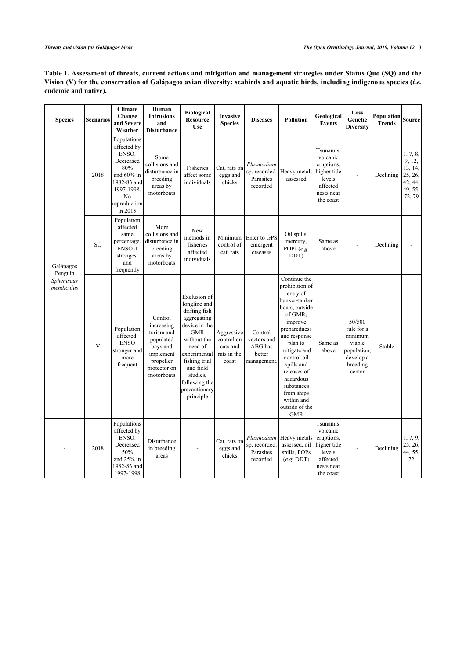## <span id="page-2-0"></span>**Table 1. Assessment of threats, current actions and mitigation and management strategies under Status Quo (SQ) and the Vision (V) for the conservation of Galápagos avian diversity: seabirds and aquatic birds, including indigenous species (***i.e.* **endemic and native).**

| <b>Species</b>           | <b>Scenarios</b> | <b>Climate</b><br>Change<br>and Severe<br>Weather                                                                                               | Human<br><b>Intrusions</b><br>and<br><b>Disturbance</b>                                                              | <b>Biological</b><br><b>Resource</b><br><b>Use</b>                                                                                                                                                                             | <b>Invasive</b><br><b>Species</b>                            | <b>Diseases</b>                                            | <b>Pollution</b>                                                                                                                                                                                                                                                                                  | Geological<br><b>Events</b>                                                                         | Loss<br>Genetic<br><b>Diversity</b>                                                         | Population<br><b>Trends</b> | Source                                                                  |
|--------------------------|------------------|-------------------------------------------------------------------------------------------------------------------------------------------------|----------------------------------------------------------------------------------------------------------------------|--------------------------------------------------------------------------------------------------------------------------------------------------------------------------------------------------------------------------------|--------------------------------------------------------------|------------------------------------------------------------|---------------------------------------------------------------------------------------------------------------------------------------------------------------------------------------------------------------------------------------------------------------------------------------------------|-----------------------------------------------------------------------------------------------------|---------------------------------------------------------------------------------------------|-----------------------------|-------------------------------------------------------------------------|
|                          | 2018             | Populations<br>affected by<br>ENSO.<br>Decreased<br>80%<br>and 60% in<br>1982-83 and<br>1997-1998.<br>N <sub>0</sub><br>reproduction<br>in 2015 | Some<br>collisions and<br>disturbance in<br>breeding<br>areas by<br>motorboats                                       | Fisheries<br>affect some<br>individuals                                                                                                                                                                                        | Cat, rats on<br>eggs and<br>chicks                           | Plasmodium<br>sp. recorded.<br>Parasites<br>recorded       | Heavy metals<br>assessed                                                                                                                                                                                                                                                                          | Tsunamis.<br>volcanic<br>eruptions,<br>higher tide<br>levels<br>affected<br>nests near<br>the coast |                                                                                             | Declining                   | 1.7, 8,<br>9, 12,<br>13, 14,<br>25, 26,<br>42, 44,<br>49, 55,<br>72, 79 |
| Galápagos<br>Penguin     | SO.              | Population<br>affected<br>same<br>percentage.<br>ENSO it<br>strongest<br>and<br>frequently                                                      | More<br>collisions and<br>disturbance in<br>breeding<br>areas by<br>motorboats                                       | New<br>methods in<br>fisheries<br>affected<br>individuals                                                                                                                                                                      | Minimum<br>control of<br>cat, rats                           | Enter to GPS<br>emergent<br>diseases                       | Oil spills,<br>mercury,<br>POPs (e.g.<br>DDT)                                                                                                                                                                                                                                                     | Same as<br>above                                                                                    |                                                                                             | Declining                   |                                                                         |
| Spheniscus<br>mendiculus | V                | Population<br>affected.<br><b>ENSO</b><br>stronger and<br>more<br>frequent                                                                      | Control<br>increasing<br>turism and<br>populated<br>bays and<br>implement<br>propeller<br>protector on<br>motorboats | Exclusion of<br>longline and<br>drifting fish<br>aggregating<br>device in the<br><b>GMR</b><br>without the<br>need of<br>experimental<br>fishing trial<br>and field<br>studies.<br>following the<br>precautionary<br>principle | Aggressive<br>control on<br>cats and<br>rats in the<br>coast | Control<br>vectors and<br>ABG has<br>better<br>management. | Continue the<br>prohibition of<br>entry of<br>bunker-tanker<br>boats; outside<br>of GMR;<br>improve<br>preparedness<br>and response<br>plan to<br>mitigate and<br>control oil<br>spills and<br>releases of<br>hazardous<br>substances<br>from ships<br>within and<br>outside of the<br><b>GMR</b> | Same as<br>above                                                                                    | 50/500<br>rule for a<br>minimum<br>viable<br>population,<br>develop a<br>breeding<br>center | Stable                      |                                                                         |
|                          | 2018             | Populations<br>affected by<br>ENSO.<br>Decreased<br>50%<br>and 25% in<br>1982-83 and<br>1997-1998                                               | Disturbance<br>in breeding<br>areas                                                                                  |                                                                                                                                                                                                                                | Cat, rats on<br>eggs and<br>chicks                           | Plasmodium<br>sp. recorded.<br>Parasites<br>recorded       | Heavy metals<br>assessed, oil<br>spills, POPs<br>$(e.g.$ DDT $)$                                                                                                                                                                                                                                  | Tsunamis,<br>volcanic<br>eruptions.<br>higher tide<br>levels<br>affected<br>nests near<br>the coast |                                                                                             | Declining                   | 1, 7, 9,<br>25, 26,<br>44, 55,<br>72                                    |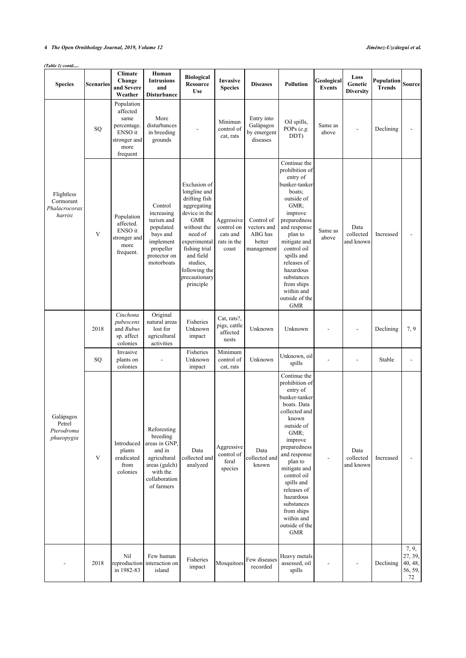## *(Table 1) contd.....*

| <b>Species</b>                                      | <b>Scenarios</b> | <b>Climate</b><br>Change<br>and Severe<br>Weather                                            | Human<br><b>Intrusions</b><br>and<br><b>Disturbance</b>                                                                        | <b>Biological</b><br><b>Resource</b><br><b>Use</b>                                                                                                                                                                             | Invasive<br><b>Species</b>                                   | <b>Diseases</b>                                              | <b>Pollution</b>                                                                                                                                                                                                                                                                                                                    | Geological<br><b>Events</b> | Loss<br>Genetic<br><b>Diversity</b> | Population<br><b>Trends</b> | Source                                       |
|-----------------------------------------------------|------------------|----------------------------------------------------------------------------------------------|--------------------------------------------------------------------------------------------------------------------------------|--------------------------------------------------------------------------------------------------------------------------------------------------------------------------------------------------------------------------------|--------------------------------------------------------------|--------------------------------------------------------------|-------------------------------------------------------------------------------------------------------------------------------------------------------------------------------------------------------------------------------------------------------------------------------------------------------------------------------------|-----------------------------|-------------------------------------|-----------------------------|----------------------------------------------|
|                                                     | SQ               | Population<br>affected<br>same<br>percentage.<br>ENSO it<br>stronger and<br>more<br>frequent | More<br>disturbances<br>in breeding<br>grounds                                                                                 |                                                                                                                                                                                                                                | Minimun<br>control of<br>cat, rats                           | Entry into<br>Galápagos<br>by emergent<br>diseases           | Oil spills,<br>POPs (e.g.<br>DDT)                                                                                                                                                                                                                                                                                                   | Same as<br>above            |                                     | Declining                   |                                              |
| Flightless<br>Cormorant<br>Phalacrocorax<br>harrisi | V                | Population<br>affected.<br>ENSO it<br>stronger and<br>more<br>frequent.                      | Control<br>increasing<br>turism and<br>populated<br>bays and<br>implement<br>propeller<br>protector on<br>motorboats           | Exclusion of<br>longline and<br>drifting fish<br>aggregating<br>device in the<br><b>GMR</b><br>without the<br>need of<br>experimental<br>fishing trial<br>and field<br>studies,<br>following the<br>precautionary<br>principle | Aggressive<br>control on<br>cats and<br>rats in the<br>coast | Control of<br>vectors and<br>ABG has<br>better<br>management | Continue the<br>prohibition of<br>entry of<br>bunker-tanker<br>boats:<br>outside of<br>GMR:<br>improve<br>preparedness<br>and response<br>plan to<br>mitigate and<br>control oil<br>spills and<br>releases of<br>hazardous<br>substances<br>from ships<br>within and<br>outside of the<br><b>GMR</b>                                | Same as<br>above            | Data<br>collected<br>and known      | Increased                   |                                              |
|                                                     | 2018             | Cinchona<br>pubescens<br>and Rubus<br>sp. affect<br>colonies                                 | Original<br>natural areas<br>lost for<br>agricultural<br>activities                                                            | Fisheries<br>Unknown<br>impact                                                                                                                                                                                                 | Cat, rats?,<br>pigs, cattle<br>affected<br>nests             | Unknown                                                      | Unknown                                                                                                                                                                                                                                                                                                                             |                             |                                     | Declining                   | 7, 9                                         |
|                                                     | SQ               | Invasive<br>plants on<br>colonies                                                            |                                                                                                                                | Fisheries<br>Unknown<br>impact                                                                                                                                                                                                 | Minimum<br>control of<br>cat, rats                           | Unknown                                                      | Unknown, oil<br>spills                                                                                                                                                                                                                                                                                                              |                             |                                     | Stable                      |                                              |
| Galápagos<br>Petrel<br>Pterodroma<br>phaeopygia     | V                | Introduced<br>plants<br>eradicated<br>from<br>colonies                                       | Reforesting<br>breeding<br>areas in GNP,<br>and in<br>agricultural<br>areas (gulch)<br>with the<br>collaboration<br>of farmers | Data<br>collected and<br>analyzed                                                                                                                                                                                              | Aggressive<br>control of<br>feral<br>species                 | Data<br>collected and<br>known                               | Continue the<br>prohibition of<br>entry of<br>bunker-tanker<br>boats. Data<br>collected and<br>known<br>outside of<br>GMR:<br>improve<br>preparedness<br>and response<br>plan to<br>mitigate and<br>control oil<br>spills and<br>releases of<br>hazardous<br>substances<br>from ships<br>within and<br>outside of the<br><b>GMR</b> |                             | Data<br>collected<br>and known      | Increased                   |                                              |
|                                                     | 2018             | Nil<br>in 1982-83                                                                            | Few human<br>reproduction interaction on<br>island                                                                             | Fisheries<br>impact                                                                                                                                                                                                            | Mosquitoes                                                   | Few diseases<br>recorded                                     | Heavy metals<br>assessed, oil<br>spills                                                                                                                                                                                                                                                                                             |                             |                                     | Declining                   | 7, 9,<br>27, 39,<br>40, 48,<br>56, 59,<br>72 |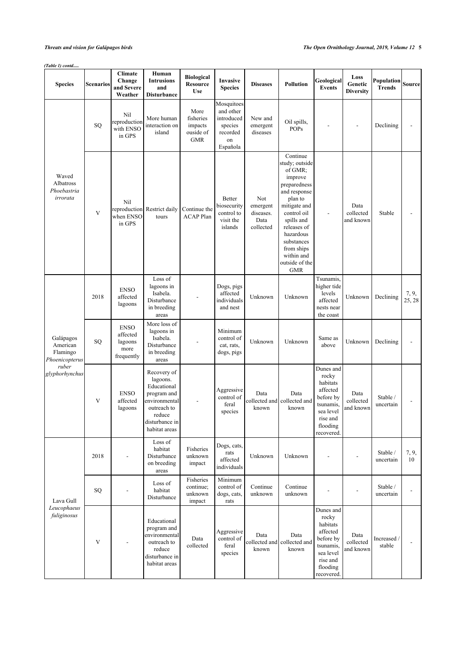### *(Table 1) contd.....*

| <b>Species</b>                                      | <b>Scenarios</b> | Climate<br>Change<br>and Severe<br>Weather               | Human<br><b>Intrusions</b><br>and<br><b>Disturbance</b>                                                                            | <b>Biological</b><br>Resource<br><b>Use</b>             | Invasive<br><b>Species</b>                                                     | <b>Diseases</b>                                   | <b>Pollution</b>                                                                                                                                                                                                                               | Geological<br><b>Events</b>                                                                                             | Loss<br>Genetic<br><b>Diversity</b> | Population<br><b>Trends</b> | Source          |
|-----------------------------------------------------|------------------|----------------------------------------------------------|------------------------------------------------------------------------------------------------------------------------------------|---------------------------------------------------------|--------------------------------------------------------------------------------|---------------------------------------------------|------------------------------------------------------------------------------------------------------------------------------------------------------------------------------------------------------------------------------------------------|-------------------------------------------------------------------------------------------------------------------------|-------------------------------------|-----------------------------|-----------------|
|                                                     | SQ               | Nil<br>reproduction<br>with ENSO<br>in GPS               | More human<br>interaction on<br>island                                                                                             | More<br>fisheries<br>impacts<br>ouside of<br><b>GMR</b> | Mosquitoes<br>and other<br>introduced<br>species<br>recorded<br>on<br>Española | New and<br>emergent<br>diseases                   | Oil spills,<br><b>POPs</b>                                                                                                                                                                                                                     |                                                                                                                         |                                     | Declining                   |                 |
| Waved<br>Albatross<br>Phoebastria<br>irrorata       | V                | Nil<br>when ENSO<br>in GPS                               | reproduction Restrict daily<br>tours                                                                                               | Continue the<br><b>ACAP</b> Plan                        | Better<br>biosecurity<br>control to<br>visit the<br>islands                    | Not<br>emergent<br>diseases.<br>Data<br>collected | Continue<br>study; outside<br>of GMR;<br>improve<br>preparedness<br>and response<br>plan to<br>mitigate and<br>control oil<br>spills and<br>releases of<br>hazardous<br>substances<br>from ships<br>within and<br>outside of the<br><b>GMR</b> |                                                                                                                         | Data<br>collected<br>and known      | Stable                      |                 |
|                                                     | 2018             | <b>ENSO</b><br>affected<br>lagoons                       | Loss of<br>lagoons in<br>Isabela.<br>Disturbance<br>in breeding<br>areas                                                           |                                                         | Dogs, pigs<br>affected<br>individuals<br>and nest                              | Unknown                                           | Unknown                                                                                                                                                                                                                                        | Tsunamis,<br>higher tide<br>levels<br>affected<br>nests near<br>the coast                                               | Unknown                             | Declining                   | 7, 9,<br>25, 28 |
| Galápagos<br>American<br>Flamingo<br>Phoenicopterus | SQ               | <b>ENSO</b><br>affected<br>lagoons<br>more<br>frequently | More loss of<br>lagoons in<br>Isabela.<br>Disturbance<br>in breeding<br>areas                                                      |                                                         | Minimum<br>control of<br>cat, rats,<br>dogs, pigs                              | Unknown                                           | Unknown                                                                                                                                                                                                                                        | Same as<br>above                                                                                                        | Unknown                             | Declining                   |                 |
| ruber<br>glyphorhynchus                             | V                | <b>ENSO</b><br>affected<br>lagoons                       | Recovery of<br>lagoons.<br>Educational<br>program and<br>environmental<br>outreach to<br>reduce<br>disturbance in<br>habitat areas |                                                         | Aggressive<br>control of<br>feral<br>species                                   | Data<br>collected and<br>known                    | Data<br>collected and<br>known                                                                                                                                                                                                                 | Dunes and<br>rocky<br>habitats<br>affected<br>before by<br>tsunamis,<br>sea level<br>rise and<br>flooding<br>recovered. | Data<br>collected<br>and known      | Stable /<br>uncertain       |                 |
|                                                     | 2018             |                                                          | Loss of<br>habitat<br>Disturbance<br>on breeding<br>areas                                                                          | Fisheries<br>unknown<br>impact                          | Dogs, cats,<br>rats<br>affected<br>individuals                                 | Unknown                                           | Unknown                                                                                                                                                                                                                                        |                                                                                                                         |                                     | Stable /<br>uncertain       | 7, 9,<br>10     |
| Lava Gull                                           | SQ               |                                                          | Loss of<br>habitat<br>Disturbance                                                                                                  | Fisheries<br>continue;<br>unknown<br>impact             | Minimum<br>control of<br>dogs, cats,<br>rats                                   | Continue<br>unknown                               | Continue<br>unknown                                                                                                                                                                                                                            |                                                                                                                         |                                     | Stable /<br>uncertain       |                 |
| Leucophaeus<br>fuliginosus                          | V                |                                                          | Educational<br>program and<br>environmental<br>outreach to<br>reduce<br>disturbance in<br>habitat areas                            | Data<br>collected                                       | Aggressive<br>control of<br>feral<br>species                                   | Data<br>collected and<br>known                    | Data<br>collected and<br>known                                                                                                                                                                                                                 | Dunes and<br>rocky<br>habitats<br>affected<br>before by<br>tsunamis,<br>sea level<br>rise and<br>flooding<br>recovered. | Data<br>collected<br>and known      | Increased /<br>stable       |                 |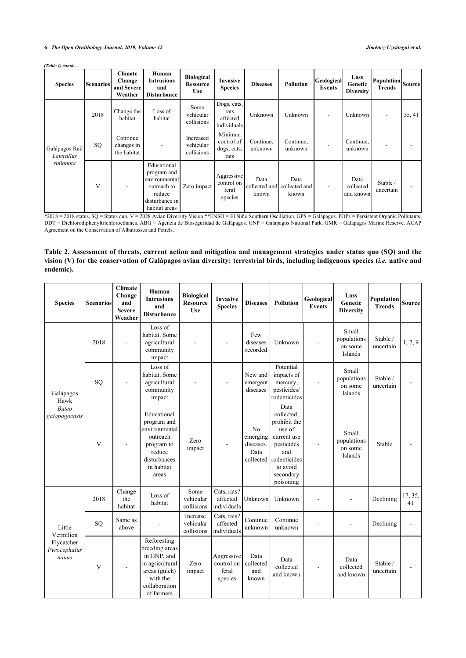| <b>Species</b>                            | <b>Scenarios</b> | <b>Climate</b><br>Change<br>and Severe<br>Weather | Human<br><b>Intrusions</b><br>and<br><b>Disturbance</b>                                                 | <b>Biological</b><br><b>Resource</b><br><b>Use</b> | <b>Invasive</b><br><b>Species</b>              | <b>Diseases</b>      | <b>Pollution</b>                             | Geological <br>Events    | Loss<br>Genetic<br><b>Diversity</b> | $\left  \text{Population} \right  \text{Source}$<br><b>Trends</b> |        |
|-------------------------------------------|------------------|---------------------------------------------------|---------------------------------------------------------------------------------------------------------|----------------------------------------------------|------------------------------------------------|----------------------|----------------------------------------------|--------------------------|-------------------------------------|-------------------------------------------------------------------|--------|
|                                           | 2018             | Change the<br>habitat                             | Loss of<br>habitat                                                                                      | Some<br>vehicular<br>collisions                    | Dogs, cats,<br>rats<br>affected<br>individuals | Unknown              | Unknown                                      | $\overline{\phantom{a}}$ | Unknown                             |                                                                   | 35, 41 |
| Galápagos Rail<br>Laterallus<br>spilonota | SQ               | Continue<br>changes in<br>the habitat             | $\overline{\phantom{a}}$                                                                                | Increased<br>vehicular<br>collisions               | Minimun<br>control of<br>dogs, cats,<br>rats   | Continue;<br>unknown | Continue:<br>unknown                         |                          | Continue;<br>unknown                |                                                                   |        |
|                                           | V                |                                                   | Educational<br>program and<br>environmental<br>outreach to<br>reduce<br>disturbance in<br>habitat areas | Zero impact                                        | Aggressive<br>control on<br>feral<br>species   | Data<br>known        | Data<br>collected and collected and<br>known | $\overline{\phantom{0}}$ | Data<br>collected<br>and known      | Stable /<br>uncertain                                             |        |

\*2018 = 2018 status, SQ = Status quo, V = 2028 Avian Diversity Vision \*\*ENSO = El Niño Southern Oscillation. GPS = Galápagos. POPs = Persistent Organic Pollutants. DDT = Dichlorodiphenyltrichloroethanes. ABG = Agencia de Bioseguridad de Galápagos. GNP = Galapagos National Park. GMR = Galapagos Marine Reserve. ACAP Agreement on the Conservation of Albatrosses and Petrels.

## <span id="page-5-0"></span>**Table 2. Assessment of threats, current action and mitigation and management strategies under status quo (SQ) and the vision (V) for the conservation of Galápagos avian diversity: terrestrial birds, including indigenous species (***i.e.* **native and endemic).**

| <b>Species</b>                      | <b>Scenarios</b> | <b>Climate</b><br>Change<br>and<br><b>Severe</b><br>Weather | Human<br><b>Intrusions</b><br>and<br><b>Disturbance</b>                                                                     | <b>Biological</b><br><b>Resource</b><br><b>Use</b> | <b>Invasive</b><br><b>Species</b>            | <b>Diseases</b>                                 | <b>Pollution</b>                                                                                                                                 | Geological<br><b>Events</b> | Loss<br>Genetic<br><b>Diversity</b>        | <b>Population</b><br><b>Trends</b> | Source        |
|-------------------------------------|------------------|-------------------------------------------------------------|-----------------------------------------------------------------------------------------------------------------------------|----------------------------------------------------|----------------------------------------------|-------------------------------------------------|--------------------------------------------------------------------------------------------------------------------------------------------------|-----------------------------|--------------------------------------------|------------------------------------|---------------|
|                                     | 2018             |                                                             | Loss of<br>habitat. Some<br>agricultural<br>community<br>impact                                                             |                                                    |                                              | Few<br>diseases<br>recorded                     | Unknown                                                                                                                                          |                             | Small<br>populations<br>on some<br>Islands | Stable /<br>uncertain              | 1, 7, 9       |
| Galápagos<br>Hawk                   | SQ               |                                                             | Loss of<br>habitat. Some<br>agricultural<br>community<br>impact                                                             |                                                    |                                              | New and<br>emergent<br>diseases                 | Potential<br>impacts of<br>mercury,<br>pesticides/<br>rodenticides                                                                               |                             | Small<br>populations<br>on some<br>Islands | Stable /<br>uncertain              |               |
| <b>Buteo</b><br>galapagoensis       | V                |                                                             | Educational<br>program and<br>environmental<br>outreach<br>program to<br>reduce<br>disturbances<br>in habitat<br>areas      | Zero<br>impact                                     |                                              | N <sub>0</sub><br>emerging<br>diseases.<br>Data | Data<br>collected:<br>prohibit the<br>use of<br>current use<br>pesticides<br>and<br>collected rodenticides<br>to avoid<br>secondary<br>poisoning |                             | Small<br>populations<br>on some<br>Islands | Stable                             |               |
|                                     | 2018             | Change<br>the<br>habitat                                    | Loss of<br>habitat                                                                                                          | Some<br>vehicular<br>collisions                    | Cats, rats?<br>affected<br>individuals       | Unknown                                         | Unknown                                                                                                                                          |                             |                                            | Declining                          | 17, 35,<br>41 |
| Little<br>Vermilion                 | SQ               | Same as<br>above                                            |                                                                                                                             | Increase<br>vehicular<br>collisions                | Cats, rats?<br>affected<br>individuals       | Continue<br>unknown                             | Continue<br>unknown                                                                                                                              |                             |                                            | Declining                          |               |
| Flycatcher<br>Pyrocephalus<br>nanus | V                |                                                             | Reforesting<br>breeding areas<br>in GNP, and<br>in agricultural<br>areas (gulch)<br>with the<br>collaboration<br>of farmers | Zero<br>impact                                     | Aggressive<br>control on<br>feral<br>species | Data<br>collected<br>and<br>known               | Data<br>collected<br>and known                                                                                                                   |                             | Data<br>collected<br>and known             | Stable /<br>uncertain              |               |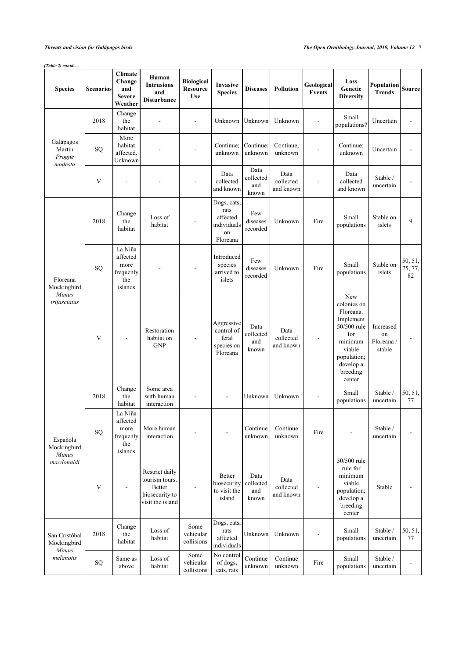## *(Table 2) contd.....*

| <b>Species</b>                               | Scenarios    | <b>Climate</b><br>Change<br>and<br><b>Severe</b><br>Weather | Human<br><b>Intrusions</b><br>and<br>Disturbance                                        | <b>Biological</b><br><b>Resource</b><br><b>Use</b> | Invasive<br><b>Species</b>                                       | <b>Diseases</b>                   | <b>Pollution</b>               | Geological<br><b>Events</b>  | Loss<br>Genetic<br><b>Diversity</b>                                                                                                       | Population<br><b>Trends</b>             | Source                   |
|----------------------------------------------|--------------|-------------------------------------------------------------|-----------------------------------------------------------------------------------------|----------------------------------------------------|------------------------------------------------------------------|-----------------------------------|--------------------------------|------------------------------|-------------------------------------------------------------------------------------------------------------------------------------------|-----------------------------------------|--------------------------|
|                                              | 2018         | Change<br>the<br>habitat                                    |                                                                                         |                                                    | Unknown                                                          | Unknown                           | Unknown                        | $\qquad \qquad \blacksquare$ | Small<br>populations?                                                                                                                     | Uncertain                               |                          |
| Galápagos<br>Martin<br>Progne<br>modesta     | SQ           | More<br>habitat<br>affected.<br>Unknown                     |                                                                                         |                                                    | Continue:<br>unknown                                             | Continue:<br>unknown              | Continue;<br>unknown           |                              | Continue;<br>unknown                                                                                                                      | Uncertain                               |                          |
|                                              | V            |                                                             |                                                                                         |                                                    | Data<br>collected<br>and known                                   | Data<br>collected<br>and<br>known | Data<br>collected<br>and known |                              | Data<br>collected<br>and known                                                                                                            | Stable /<br>uncertain                   |                          |
|                                              | 2018         | Change<br>the<br>habitat                                    | Loss of<br>habitat                                                                      |                                                    | Dogs, cats,<br>rats<br>affected<br>individuals<br>on<br>Floreana | Few<br>diseases<br>recorded       | Unknown                        | Fire                         | Small<br>populations                                                                                                                      | Stable on<br>islets                     | 9                        |
| Floreana<br>Mockingbird                      | SQ           | La Niña<br>affected<br>more<br>frequenly<br>the<br>islands  |                                                                                         |                                                    | Introduced<br>species<br>arrived to<br>islets                    | Few<br>diseases<br>recorded       | Unknown                        | Fire                         | Small<br>populations                                                                                                                      | Stable on<br>islets                     | 50, 51,<br>75, 77,<br>82 |
| <b>Mimus</b><br>trifasciatus                 | V            |                                                             | Restoration<br>habitat on<br><b>GNP</b>                                                 |                                                    | Aggressive<br>control of<br>feral<br>species on<br>Floreana      | Data<br>collected<br>and<br>known | Data<br>collected<br>and known |                              | New<br>colonies on<br>Floreana.<br>Implement<br>50/500 rule<br>for<br>minimum<br>viable<br>population;<br>develop a<br>breeding<br>center | Increased<br>on<br>Floreana /<br>stable |                          |
|                                              | 2018         | Change<br>the<br>habitat                                    | Some area<br>with human<br>interaction                                                  |                                                    |                                                                  | Unknown                           | Unknown                        |                              | Small<br>populations                                                                                                                      | Stable /<br>uncertain                   | 50, 51,<br>77            |
| Española<br>Mockingbird<br>Mimus             | SQ           | La Niña<br>affected<br>more<br>frequenly<br>the<br>islands  | More human<br>interaction                                                               |                                                    |                                                                  | Continue<br>unknown               | Continue<br>unknown            | Fire                         |                                                                                                                                           | Stable /<br>uncertain                   |                          |
| macdonaldi                                   | $\mathbf{V}$ | $\overline{\phantom{a}}$                                    | Restrict daily<br>tourism tours.<br><b>Better</b><br>biosecurity to<br>visit the island |                                                    | <b>Better</b><br>biosecurity<br>to visit the<br>island           | Data<br>collected<br>and<br>known | Data<br>collected<br>and known | $\qquad \qquad \blacksquare$ | 50/500 rule<br>rule for<br>minimum<br>viable<br>population;<br>develop a<br>breeding<br>center                                            | Stable                                  | $\overline{\phantom{a}}$ |
| San Cristóbal<br>Mockingbird<br><b>Mimus</b> | 2018         | Change<br>the<br>habitat                                    | Loss of<br>habitat                                                                      | Some<br>vehicular<br>collisions                    | Dogs, cats,<br>rats<br>affected<br>individuals                   | Unknown                           | Unknown                        | $\overline{\phantom{a}}$     | Small<br>populations                                                                                                                      | Stable /<br>uncertain                   | 50, 51,<br>77            |
| melanotis                                    | SQ           | Same as<br>above                                            | Loss of<br>habitat                                                                      | Some<br>vehicular<br>collisions                    | No control<br>of dogs,<br>cats, rats                             | Continue<br>unknown               | Continue<br>unknown            | Fire                         | Small<br>populations                                                                                                                      | Stable /<br>uncertain                   |                          |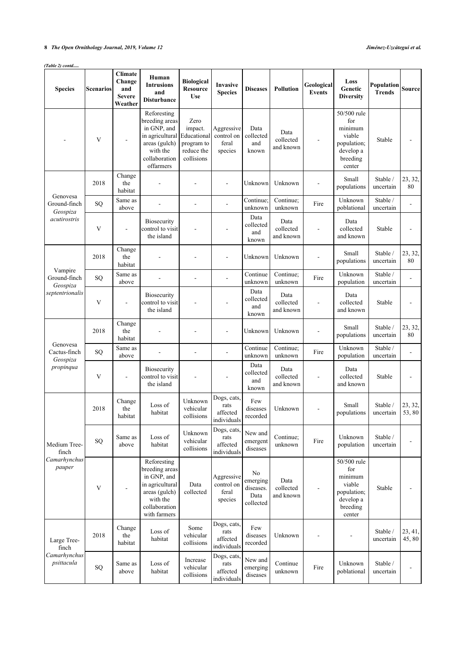### *(Table 2) contd.....*

| <b>Species</b>                       | <b>Scenarios</b> | <b>Climate</b><br>Change<br>and<br><b>Severe</b><br>Weather | Human<br><b>Intrusions</b><br>and<br><b>Disturbance</b>                                                                       | <b>Biological</b><br><b>Resource</b><br><b>Use</b>                       | Invasive<br><b>Species</b>                     | <b>Diseases</b>                                  | <b>Pollution</b>               | Geological<br><b>Events</b> | Loss<br>Genetic<br><b>Diversity</b>                                                       | Population<br><b>Trends</b> | Source           |
|--------------------------------------|------------------|-------------------------------------------------------------|-------------------------------------------------------------------------------------------------------------------------------|--------------------------------------------------------------------------|------------------------------------------------|--------------------------------------------------|--------------------------------|-----------------------------|-------------------------------------------------------------------------------------------|-----------------------------|------------------|
|                                      | V                |                                                             | Reforesting<br>breeding areas<br>in GNP, and<br>in agricultural<br>areas (gulch)<br>with the<br>collaboration<br>offarmers    | Zero<br>impact.<br>Educational<br>program to<br>reduce the<br>collisions | Aggressive<br>control on<br>feral<br>species   | Data<br>collected<br>and<br>known                | Data<br>collected<br>and known |                             | 50/500 rule<br>for<br>minimum<br>viable<br>population;<br>develop a<br>breeding<br>center | Stable                      |                  |
| Genovesa                             | 2018             | Change<br>the<br>habitat                                    |                                                                                                                               |                                                                          | L,                                             | Unknown                                          | Unknown                        | $\overline{\phantom{a}}$    | Small<br>populations                                                                      | Stable /<br>uncertain       | 23, 32,<br>80    |
| Ground-finch<br>Geospiza             | SQ               | Same as<br>above                                            | $\overline{\phantom{a}}$                                                                                                      | $\overline{a}$                                                           | L,                                             | Continue;<br>unknown                             | Continue;<br>unknown           | Fire                        | Unknown<br>poblational                                                                    | Stable /<br>uncertain       |                  |
| acutirostris                         | V                |                                                             | <b>Biosecurity</b><br>control to visit<br>the island                                                                          |                                                                          |                                                | Data<br>collected<br>and<br>known                | Data<br>collected<br>and known |                             | Data<br>collected<br>and known                                                            | Stable                      |                  |
|                                      | 2018             | Change<br>the<br>habitat                                    |                                                                                                                               |                                                                          | Ĭ.                                             | Unknown                                          | Unknown                        |                             | Small<br>populations                                                                      | Stable /<br>uncertain       | 23, 32,<br>80    |
| Vampire<br>Ground-finch              | SQ               | Same as<br>above                                            |                                                                                                                               |                                                                          |                                                | Continue<br>unknown                              | Continue;<br>unknown           | Fire                        | Unknown<br>population                                                                     | Stable /<br>uncertain       |                  |
| Geospiza<br>septentrionalis          | V                |                                                             | <b>Biosecurity</b><br>control to visit<br>the island                                                                          |                                                                          |                                                | Data<br>collected<br>and<br>known                | Data<br>collected<br>and known |                             | Data<br>collected<br>and known                                                            | Stable                      |                  |
|                                      | 2018             | Change<br>the<br>habitat                                    |                                                                                                                               |                                                                          |                                                | Unknown                                          | Unknown                        |                             | Small<br>populations                                                                      | Stable /<br>uncertain       | 23, 32,<br>80    |
| Genovesa<br>Cactus-finch<br>Geospiza | SQ               | Same as<br>above                                            |                                                                                                                               |                                                                          |                                                | Continue<br>unknown                              | Continue;<br>unknown           | Fire                        | Unknown<br>population                                                                     | Stable /<br>uncertain       |                  |
| propinqua                            | V                |                                                             | Biosecurity<br>control to visit<br>the island                                                                                 |                                                                          |                                                | Data<br>collected<br>and<br>known                | Data<br>collected<br>and known |                             | Data<br>collected<br>and known                                                            | Stable                      |                  |
|                                      | 2018             | Change<br>the<br>habitat                                    | Loss of<br>habitat                                                                                                            | Unknown<br>vehicular<br>collisions                                       | Dogs, cats,<br>rats<br>affected<br>individuals | Few<br>diseases<br>recorded                      | Unknown                        |                             | Small<br>populations                                                                      | Stable /<br>uncertain       | 23, 32,<br>53,80 |
| Medium Tree-<br>finch                | ${\rm SQ}$       | Same as<br>above                                            | Loss of<br>habitat                                                                                                            | Unknown<br>vehicular<br>collisions                                       | Dogs, cats,<br>rats<br>affected<br>individuals | New and<br>emergent<br>diseases                  | Continue;<br>unknown           | Fire                        | Unknown<br>population                                                                     | Stable /<br>uncertain       | -                |
| Camarhynchus<br>pauper               | V                |                                                             | Reforesting<br>breeding areas<br>in GNP, and<br>in agricultural<br>areas (gulch)<br>with the<br>collaboration<br>with farmers | Data<br>collected                                                        | Aggressive<br>control on<br>feral<br>species   | No<br>emerging<br>diseases.<br>Data<br>collected | Data<br>collected<br>and known | -                           | 50/500 rule<br>for<br>minimum<br>viable<br>population;<br>develop a<br>breeding<br>center | Stable                      | $\blacksquare$   |
| Large Tree-<br>finch                 | 2018             | Change<br>the<br>habitat                                    | Loss of<br>habitat                                                                                                            | Some<br>vehicular<br>collisions                                          | Dogs, cats,<br>rats<br>affected<br>individuals | Few<br>diseases<br>recorded                      | Unknown                        |                             |                                                                                           | Stable /<br>uncertain       | 23, 41,<br>45,80 |
| Camarhynchus<br>psittacula           | ${\rm SQ}$       | Same as<br>above                                            | Loss of<br>habitat                                                                                                            | Increase<br>vehicular<br>collisions                                      | Dogs, cats,<br>rats<br>affected<br>individuals | New and<br>emerging<br>diseases                  | Continue<br>unknown            | Fire                        | Unknown<br>poblational                                                                    | Stable /<br>uncertain       |                  |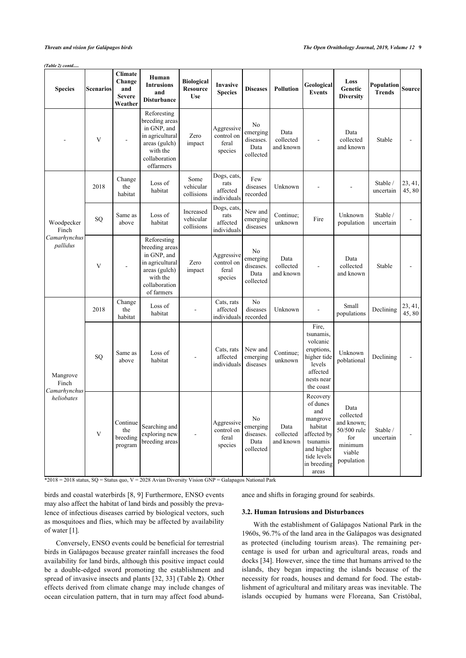#### *(Table 2) contd.....*

| <b>Species</b>             | <b>Scenarios</b> | <b>Climate</b><br>Change<br>and<br><b>Severe</b><br>Weather | Human<br><b>Intrusions</b><br>and<br><b>Disturbance</b>                                                                     | <b>Biological</b><br><b>Resource</b><br><b>Use</b> | Invasive<br><b>Species</b>                     | <b>Diseases</b>                                  | <b>Pollution</b>               | Geological<br><b>Events</b>                                                                                                        | Loss<br>Genetic<br><b>Diversity</b>                                                      | Population<br><b>Trends</b> | <b>Source</b>    |
|----------------------------|------------------|-------------------------------------------------------------|-----------------------------------------------------------------------------------------------------------------------------|----------------------------------------------------|------------------------------------------------|--------------------------------------------------|--------------------------------|------------------------------------------------------------------------------------------------------------------------------------|------------------------------------------------------------------------------------------|-----------------------------|------------------|
|                            | V                | $\overline{a}$                                              | Reforesting<br>breeding areas<br>in GNP, and<br>in agricultural<br>areas (gulch)<br>with the<br>collaboration<br>offarmers  | Zero<br>impact                                     | Aggressive<br>control on<br>feral<br>species   | No<br>emerging<br>diseases.<br>Data<br>collected | Data<br>collected<br>and known |                                                                                                                                    | Data<br>collected<br>and known                                                           | Stable                      |                  |
|                            | 2018             | Change<br>the<br>habitat                                    | Loss of<br>habitat                                                                                                          | Some<br>vehicular<br>collisions                    | Dogs, cats,<br>rats<br>affected<br>individuals | Few<br>diseases<br>recorded                      | Unknown                        |                                                                                                                                    |                                                                                          | Stable /<br>uncertain       | 23, 41,<br>45,80 |
| Woodpecker<br>Finch        | SQ               | Same as<br>above                                            | Loss of<br>habitat                                                                                                          | Increased<br>vehicular<br>collisions               | Dogs, cats,<br>rats<br>affected<br>individuals | New and<br>emerging<br>diseases                  | Continue;<br>unknown           | Fire                                                                                                                               | Unknown<br>population                                                                    | Stable /<br>uncertain       |                  |
| Camarhynchus<br>pallidus   | V                |                                                             | Reforesting<br>breeding areas<br>in GNP, and<br>in agricultural<br>areas (gulch)<br>with the<br>collaboration<br>of farmers | Zero<br>impact                                     | Aggressive<br>control on<br>feral<br>species   | No<br>emerging<br>diseases.<br>Data<br>collected | Data<br>collected<br>and known |                                                                                                                                    | Data<br>collected<br>and known                                                           | Stable                      |                  |
|                            | 2018             | Change<br>the<br>habitat                                    | Loss of<br>habitat                                                                                                          |                                                    | Cats, rats<br>affected<br>individuals          | N <sub>o</sub><br>diseases<br>recorded           | Unknown                        |                                                                                                                                    | Small<br>populations                                                                     | Declining                   | 23, 41,<br>45,80 |
| Mangrove<br>Finch          | SQ               | Same as<br>above                                            | Loss of<br>habitat                                                                                                          |                                                    | Cats, rats<br>affected<br>individuals          | New and<br>emerging<br>diseases                  | Continue;<br>unknown           | Fire,<br>tsunamis,<br>volcanic<br>eruptions,<br>higher tide<br>levels<br>affected<br>nests near<br>the coast                       | Unknown<br>poblational                                                                   | Declining                   |                  |
| Camarhynchus<br>heliobates | V                | Continue<br>the<br>breeding<br>program                      | Searching and<br>exploring new<br>breeding areas                                                                            |                                                    | Aggressive<br>control on<br>feral<br>species   | No<br>emerging<br>diseases.<br>Data<br>collected | Data<br>collected<br>and known | Recovery<br>of dunes<br>and<br>mangrove<br>habitat<br>affected by<br>tsunamis<br>and higher<br>tide levels<br>in breeding<br>areas | Data<br>collected<br>and known;<br>50/500 rule<br>for<br>minimum<br>viable<br>population | Stable /<br>uncertain       |                  |

\*2018 = 2018 status, SQ = Status quo, V = 2028 Avian Diversity Vision GNP = Galapagos National Park

birds and coastal waterbirds [[8,](#page-12-15) [9](#page-12-12)] Furthermore, ENSO events may also affect the habitat of land birds and possibly the prevalence of infectious diseases carried by biological vectors, such as mosquitoes and flies, which may be affected by availability of water [[1](#page-12-0)].

Conversely, ENSO events could be beneficial for terrestrial birds in Galápagos because greater rainfall increases the food availability for land birds, although this positive impact could be a double-edged sword promoting the establishment and spread of invasive insects and plants [[32,](#page-13-9) [33\]](#page-13-10) (Table **[2](#page-5-0)**). Other effects derived from climate change may include changes of ocean circulation pattern, that in turn may affect food abundance and shifts in foraging ground for seabirds.

## **3.2. Human Intrusions and Disturbances**

With the establishment of Galápagos National Park in the 1960s, 96.7% of the land area in the Galápagos was designated as protected (including tourism areas). The remaining percentage is used for urban and agricultural areas, roads and docks [[34\]](#page-13-11). However, since the time that humans arrived to the islands, they began impacting the islands because of the necessity for roads, houses and demand for food. The establishment of agricultural and military areas was inevitable. The islands occupied by humans were Floreana, San Cristóbal,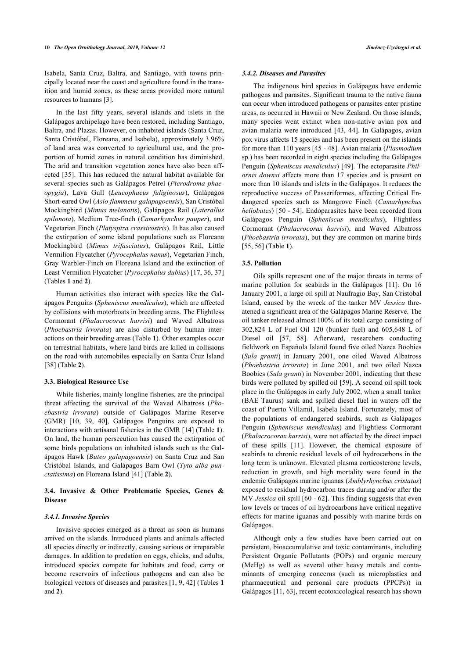Isabela, Santa Cruz, Baltra, and Santiago, with towns principally located near the coast and agriculture found in the transition and humid zones, as these areas provided more natural resources to humans [\[3\]](#page-12-2).

In the last fifty years, several islands and islets in the Galápagos archipelago have been restored, including Santiago, Baltra, and Plazas. However, on inhabited islands (Santa Cruz, Santa Cristóbal, Floreana, and Isabela), approximately 3.96% of land area was converted to agricultural use, and the proportion of humid zones in natural condition has diminished. The arid and transition vegetation zones have also been affected [\[35\]](#page-13-12). This has reduced the natural habitat available for several species such as Galápagos Petrel (*Pterodroma phaeopygia*), Lava Gull (*Leucophaeus fuliginosus*), Galápagos Short-eared Owl (*Asio flammeus galapagoensis*), San Cristóbal Mockingbird (*Mimus melanotis*), Galápagos Rail (*Laterallus spilonota*), Medium Tree-finch (*Camarhynchus pauper*), and Vegetarian Finch (*Platyspiza crassirostris*). It has also caused the extirpation of some island populations such as Floreana Mockingbird (*Mimus trifasciatus*), Galápagos Rail, Little Vermilion Flycatcher (*Pyrocephalus nanus*), Vegetarian Finch, Gray Warbler-Finch on Floreana Island and the extinction of Least Vermilion Flycatcher (*Pyrocephalus dubius*) [[17,](#page-12-9) [36,](#page-13-13) [37](#page-13-14)] (Tables **[1](#page-2-0)** and **[2](#page-5-0)**).

Human activities also interact with species like the Galápagos Penguins (*Spheniscus mendiculus*), which are affected by collisions with motorboats in breeding areas. The Flightless Cormorant (*Phalacrocorax harrisi*) and Waved Albatross (*Phoebastria irrorata*) are also disturbed by human interactions on their breeding areas (Table **[1](#page-2-0)**). Other examples occur on terrestrial habitats, where land birds are killed in collisions on the road with automobiles especially on Santa Cruz Island [[38\]](#page-13-15) (Table **[2](#page-5-0)**).

## **3.3. Biological Resource Use**

While fisheries, mainly longline fisheries, are the principal threat affecting the survival of the Waved Albatross (*Phoebastria irrorata*) outside of Galápagos Marine Reserve (GMR)[[10](#page-12-13), [39,](#page-13-16) [40](#page-13-17)], Galápagos Penguins are exposed to interactions with artisanal fisheries in the GMR [[14\]](#page-12-6) (Table **[1](#page-2-0)**). On land, the human persecution has caused the extirpation of some birds populations on inhabited islands such as the Galápagos Hawk (*Buteo galapagoensis*) on Santa Cruz and San Cristóbal Islands, and Galápagos Barn Owl (*Tyto alba punctatissima*) on Floreana Island [[41\]](#page-13-18) (Table **[2](#page-5-0)**).

## **3.4. Invasive & Other Problematic Species, Genes & Disease**

#### *3.4.1. Invasive Species*

Invasive species emerged as a threat as soon as humans arrived on the islands. Introduced plants and animals affected all species directly or indirectly, causing serious or irreparable damages. In addition to predation on eggs, chicks, and adults, introduced species compete for habitats and food, carry or become reservoirs of infectious pathogens and can also be biological vectors of diseases and parasites [\[1,](#page-12-0) [9,](#page-12-12) [42\]](#page-13-19) (Tables **[1](#page-2-0)** and **[2](#page-5-0)**).

#### *3.4.2. Diseases and Parasites*

The indigenous bird species in Galápagos have endemic pathogens and parasites. Significant trauma to the native fauna can occur when introduced pathogens or parasites enter pristine areas, as occurred in Hawaii or New Zealand. On those islands, many species went extinct when non-native avian pox and avian malaria were introduced [\[43,](#page-13-20) [44](#page-13-21)]. In Galápagos, avian pox virus affects 15 species and has been present on the islands for more than 110 years [[45](#page-13-22) - [48\]](#page-13-23). Avian malaria (*Plasmodium* sp.) has been recorded in eight species including the Galápagos Penguin (*Spheniscus mendiculus*) [\[49](#page-13-24)]. The ectoparasite *Philornis downsi* affects more than 17 species and is present on more than 10 islands and islets in the Galápagos. It reduces the reproductive success of Passeriformes, affecting Critical Endangered species such as Mangrove Finch (*Camarhynchus heliobates*) [[50](#page-13-25) - [54\]](#page-13-11). Endoparasites have been recorded from Galápagos Penguin (*Spheniscus mendiculus*), Flightless Cormorant (*Phalacrocorax harrisi*), and Waved Albatross (*Phoebastria irrorata*), but they are common on marine birds [[55,](#page-13-12) [56](#page-13-26)] (Table **[1](#page-2-0)**).

## **3.5. Pollution**

Oils spills represent one of the major threats in terms of marine pollution for seabirds in the Galápagos[[11](#page-12-17)]. On 16 January 2001, a large oil spill at Naufragio Bay, San Cristóbal Island, caused by the wreck of the tanker MV *Jessica* threatened a significant area of the Galápagos Marine Reserve. The oil tanker released almost 100% of its total cargo consisting of 302,824 L of Fuel Oil 120 (bunker fuel) and 605,648 L of Diesel oil [\[57](#page-13-27), [58](#page-13-28)]. Afterward, researchers conducting fieldwork on Española Island found five oiled Nazca Boobies (*Sula granti*) in January 2001, one oiled Waved Albatross (*Phoebastria irrorata*) in June 2001, and two oiled Nazca Boobies (*Sula granti*) in November 2001, indicating that these birds were polluted by spilled oil [\[59](#page-13-29)]. A second oil spill took place in the Galápagos in early July 2002, when a small tanker (BAE Taurus) sank and spilled diesel fuel in waters off the coast of Puerto Villamil, Isabela Island. Fortunately, most of the populations of endangered seabirds, such as Galápagos Penguin (*Spheniscus mendiculus*) and Flightless Cormorant (*Phalacrocorax harrisi*), were not affected by the direct impact of these spills[[11](#page-12-17)]. However, the chemical exposure of seabirds to chronic residual levels of oil hydrocarbons in the long term is unknown. Elevated plasma corticosterone levels, reduction in growth, and high mortality were found in the endemic Galápagos marine iguanas (*Amblyrhynchus cristatus*) exposed to residual hydrocarbon traces during and/or after the MV *Jessica* oil spill [[60](#page-13-30) - [62](#page-13-31)]. This finding suggests that even low levels or traces of oil hydrocarbons have critical negative effects for marine iguanas and possibly with marine birds on Galápagos.

Although only a few studies have been carried out on persistent, bioaccumulative and toxic contaminants, including Persistent Organic Pollutants (POPs) and organic mercury (MeHg) as well as several other heavy metals and contaminants of emerging concerns (such as microplastics and pharmaceutical and personal care products (PPCPs)) in Galápagos [\[11](#page-12-17), [63\]](#page-14-0), recent ecotoxicological research has shown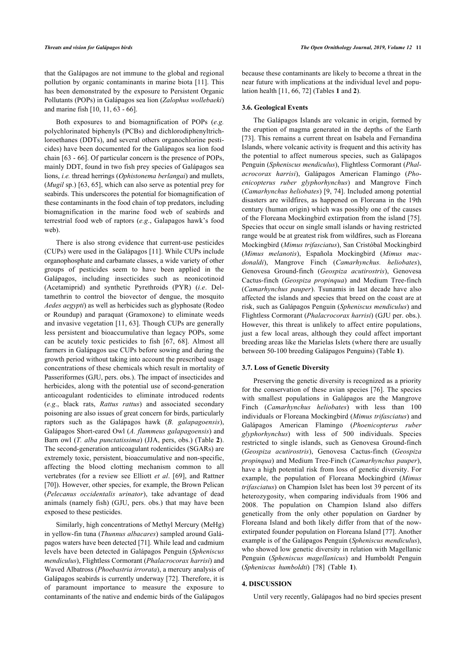that the Galápagos are not immune to the global and regional pollution by organic contaminants in marine biota [\[11](#page-12-17)]. This has been demonstrated by the exposure to Persistent Organic Pollutants (POPs) in Galápagos sea lion (*Zalophus wollebaeki*) and marine fish [[10,](#page-12-13) [11](#page-12-17), [63](#page-14-0) - [66](#page-14-1)].

Both exposures to and biomagnification of POPs (*e.g.* polychlorinated biphenyls (PCBs) and dichlorodiphenyltrichloroethanes (DDTs), and several others organochlorine pesticides) have been documented for the Galápagos sea lion food chain [[63](#page-14-0) - [66](#page-14-1)]. Of particular concern is the presence of POPs, mainly DDT, found in two fish prey species of Galápagos sea lions, *i.e.* thread herrings (*Ophistonema berlangai*) and mullets, (*Mugil* sp.) [[63](#page-14-0), [65\]](#page-14-2), which can also serve as potential prey for seabirds. This underscores the potential for biomagnification of these contaminants in the food chain of top predators, including biomagnification in the marine food web of seabirds and terrestrial food web of raptors (*e.g*., Galapagos hawk's food web).

There is also strong evidence that current-use pesticides (CUPs) were used in the Galápagos [[11\]](#page-12-17). While CUPs include organophosphate and carbamate classes, a wide variety of other groups of pesticides seem to have been applied in the Galápagos, including insecticides such as neonicotinoid (Acetamiprid) and synthetic Pyrethroids (PYR) (*i.e*. Deltamethrin to control the biovector of dengue, the mosquito *Aedes aegypti*) as well as herbicides such as glyphosate (Rodeo or Roundup) and paraquat (Gramoxone) to eliminate weeds and invasive vegetation [[11,](#page-12-17) [63](#page-14-0)]. Though CUPs are generally less persistent and bioaccumulative than legacy POPs, some can be acutely toxic pesticides to fish[[67](#page-14-3), [68\]](#page-14-4). Almost all farmers in Galápagos use CUPs before sowing and during the growth period without taking into account the prescribed usage concentrations of these chemicals which result in mortality of Passeriformes (GJU, pers. obs.). The impact of insecticides and herbicides, along with the potential use of second-generation anticoagulant rodenticides to eliminate introduced rodents (*e.g*., black rats, *Rattus rattus*) and associated secondary poisoning are also issues of great concern for birds, particularly raptors such as the Galápagos hawk (*B. galapagoensis*), Galápagos Short-eared Owl (*A. flammeus galapagoensis*) and Barn owl (*T. alba punctatissima*) (JJA, pers, obs.) (Table **[2](#page-5-0)**). The second-generation anticoagulant rodenticides (SGARs) are extremely toxic, persistent, bioaccumulative and non-specific, affecting the blood clotting mechanism common to all vertebrates (for a review see Elliott *et al*.[[69](#page-14-5)], and Rattner [[70\]](#page-14-6)). However, other species, for example, the Brown Pelican (*Pelecanus occidentalis urinator*), take advantage of dead animals (namely fish) (GJU, pers. obs.) that may have been exposed to these pesticides.

Similarly, high concentrations of Methyl Mercury (MeHg) in yellow-fin tuna (*Thunnus albacares*) sampled around Galápagos waters have been detected [\[71](#page-14-7)]. While lead and cadmium levels have been detected in Galápagos Penguin (*Spheniscus mendiculus*), Flightless Cormorant (*Phalacrocorax harrisi*) and Waved Albatross (*Phoebastria irrorata*), a mercury analysis of Galápagos seabirds is currently underway [\[72](#page-14-8)]. Therefore, it is of paramount importance to measure the exposure to contaminants of the native and endemic birds of the Galápagos because these contaminants are likely to become a threat in the near future with implications at the individual level and population health [[11,](#page-12-17) [66](#page-14-1), [72\]](#page-14-8) (Tables **[1](#page-2-0)** and **[2](#page-5-0)**).

## **3.6. Geological Events**

The Galápagos Islands are volcanic in origin, formed by the eruption of magma generated in the depths of the Earth [[73](#page-14-9)]. This remains a current threat on Isabela and Fernandina Islands, where volcanic activity is frequent and this activity has the potential to affect numerous species, such as Galápagos Penguin (*Spheniscus mendiculus*), Flightless Cormorant (*Phalacrocorax harrisi*), Galápagos American Flamingo (*Phoenicopterus ruber glyphorhynchus*) and Mangrove Finch (*Camarhynchus heliobates*) [[9,](#page-12-12) [74\]](#page-14-10). Included among potential disasters are wildfires, as happened on Floreana in the 19th century (human origin) which was possibly one of the causes of the Floreana Mockingbird extirpation from the island [[75](#page-14-11)]. Species that occur on single small islands or having restricted range would be at greatest risk from wildfires, such as Floreana Mockingbird (*Mimus trifasciatus*), San Cristóbal Mockingbird (*Mimus melanotis*), Española Mockingbird (*Mimus macdonaldi*), Mangrove Finch (*Camarhynchus. heliobates*), Genovesa Ground-finch (*Geospiza acutirostris*), Genovesa Cactus-finch (*Geospiza propinqua*) and Medium Tree-finch (*Camarhynchus pauper*). Tsunamis in last decade have also affected the islands and species that breed on the coast are at risk, such as Galápagos Penguin (*Spheniscus mendiculus*) and Flightless Cormorant (*Phalacrocorax harrisi*) (GJU per. obs.). However, this threat is unlikely to affect entire populations, just a few local areas, although they could affect important breeding areas like the Marielas Islets (where there are usually between 50-100 breeding Galápagos Penguins) (Table **[1](#page-2-0)**).

#### **3.7. Loss of Genetic Diversity**

Preserving the genetic diversity is recognized as a priority for the conservation of these avian species [[76\]](#page-14-12). The species with smallest populations in Galápagos are the Mangrove Finch (*Camarhynchus heliobates*) with less than 100 individuals or Floreana Mockingbird (*Mimus trifasciatus*) and Galápagos American Flamingo (*Phoenicopterus ruber glyphorhynchus*) with less of 500 individuals. Species restricted to single islands, such as Genovesa Ground-finch (*Geospiza acutirostris*), Genovesa Cactus-finch (*Geospiza propinqua*) and Medium Tree-Finch (*Camarhynchus pauper*), have a high potential risk from loss of genetic diversity. For example, the population of Floreana Mockingbird (*Mimus trifasciatus*) on Champion Islet has been lost 39 percent of its heterozygosity, when comparing individuals from 1906 and 2008. The population on Champion Island also differs genetically from the only other population on Gardner by Floreana Island and both likely differ from that of the nowextirpated founder population on Floreana Island [\[77](#page-14-13)]. Another example is of the Galápagos Penguin (*Spheniscus mendiculus*), who showed low genetic diversity in relation with Magellanic Penguin (*Spheniscus magellanicus*) and Humboldt Penguin (*Spheniscus humboldti*)[[78\]](#page-14-3) (Table**1**).

#### **4. DISCUSSION**

Until very recently, Galápagos had no bird species present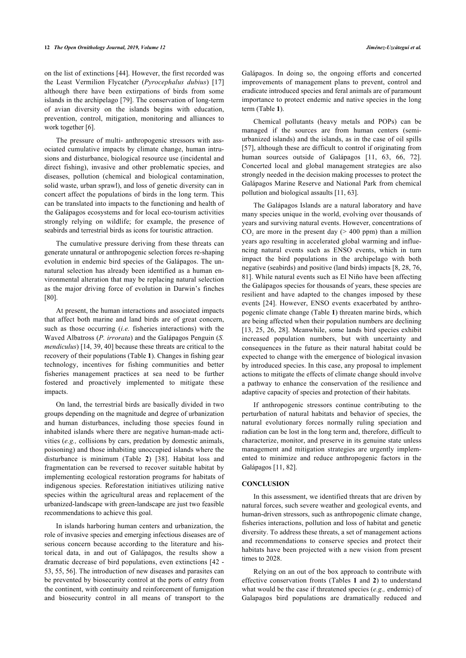on the list of extinctions [[44\]](#page-13-21). However, the first recorded was the Least Vermilion Flycatcher (*Pyrocephalus dubius*)[[17](#page-12-9)] although there have been extirpations of birds from some islands in the archipelago [[79\]](#page-14-4). The conservation of long-term of avian diversity on the islands begins with education, prevention, control, mitigation, monitoring and alliances to work together [\[6\]](#page-12-5).

The pressure of multi- anthropogenic stressors with associated cumulative impacts by climate change, human intrusions and disturbance, biological resource use (incidental and direct fishing), invasive and other problematic species, and diseases, pollution (chemical and biological contamination, solid waste, urban sprawl), and loss of genetic diversity can in concert affect the populations of birds in the long term. This can be translated into impacts to the functioning and health of the Galápagos ecosystems and for local eco-tourism activities strongly relying on wildlife; for example, the presence of seabirds and terrestrial birds as icons for touristic attraction.

The cumulative pressure deriving from these threats can generate unnatural or anthropogenic selection forces re-shaping evolution in endemic bird species of the Galápagos. The unnatural selection has already been identified as a human environmental alteration that may be replacing natural selection as the major driving force of evolution in Darwin's finches [[80\]](#page-14-5).

At present, the human interactions and associated impacts that affect both marine and land birds are of great concern, such as those occurring (*i.e.* fisheries interactions) with the Waved Albatross (*P. irrorata*) and the Galápagos Penguin (*S. mendiculus*) [\[14](#page-12-6), [39,](#page-13-16) [40](#page-13-17)] because these threats are critical to the recovery of their populations (Table **[1](#page-2-0)**). Changes in fishing gear technology, incentives for fishing communities and better fisheries management practices at sea need to be further fostered and proactively implemented to mitigate these impacts.

On land, the terrestrial birds are basically divided in two groups depending on the magnitude and degree of urbanization and human disturbances, including those species found in inhabited islands where there are negative human-made activities (*e.g.,* collisions by cars, predation by domestic animals, poisoning) and those inhabiting unoccupied islands where the disturbance is minimum (Table**2**)[[38\]](#page-13-15). Habitat loss and fragmentation can be reversed to recover suitable habitat by implementing ecological restoration programs for habitats of indigenous species. Reforestation initiatives utilizing native species within the agricultural areas and replacement of the urbanized-landscape with green-landscape are just two feasible recommendations to achieve this goal.

In islands harboring human centers and urbanization, the role of invasive species and emerging infectious diseases are of serious concern because according to the literature and historical data, in and out of Galápagos, the results show a dramatic decrease of bird populations, even extinctions [[42](#page-13-19) - [53,](#page-13-32) [55,](#page-13-12) [56](#page-13-26)]. The introduction of new diseases and parasites can be prevented by biosecurity control at the ports of entry from the continent, with continuity and reinforcement of fumigation and biosecurity control in all means of transport to the

Galápagos. In doing so, the ongoing efforts and concerted improvements of management plans to prevent, control and eradicate introduced species and feral animals are of paramount importance to protect endemic and native species in the long term (Table **[1](#page-2-0)**).

Chemical pollutants (heavy metals and POPs) can be managed if the sources are from human centers (semiurbanized islands) and the islands, as in the case of oil spills [[57](#page-13-27)], although these are difficult to control if originating from humansources outside of Galápagos [[11](#page-12-17), [63](#page-14-0), [66](#page-14-1), [72](#page-14-8)]. Concerted local and global management strategies are also strongly needed in the decision making processes to protect the Galápagos Marine Reserve and National Park from chemical pollution and biological assaults [\[11](#page-12-17), [63\]](#page-14-0).

The Galápagos Islands are a natural laboratory and have many species unique in the world, evolving over thousands of years and surviving natural events. However, concentrations of  $CO<sub>2</sub>$  are more in the present day ( $> 400$  ppm) than a million years ago resulting in accelerated global warming and influencing natural events such as ENSO events, which in turn impact the bird populations in the archipelago with both negative (seabirds) and positive (land birds) impacts [\[8](#page-12-15), [28,](#page-13-6) [76](#page-14-12), [81](#page-14-14)]. While natural events such as El Niño have been affecting the Galápagos species for thousands of years, these species are resilient and have adapted to the changes imposed by these events [\[24](#page-13-2)]. However, ENSO events exacerbated by anthropogenic climate change (Table **[1](#page-2-0)**) threaten marine birds, which are being affected when their population numbers are declining [[13](#page-12-16), [25,](#page-13-3) [26](#page-13-4), [28](#page-13-6)]. Meanwhile, some lands bird species exhibit increased population numbers, but with uncertainty and consequences in the future as their natural habitat could be expected to change with the emergence of biological invasion by introduced species. In this case, any proposal to implement actions to mitigate the effects of climate change should involve a pathway to enhance the conservation of the resilience and adaptive capacity of species and protection of their habitats.

If anthropogenic stressors continue contributing to the perturbation of natural habitats and behavior of species, the natural evolutionary forces normally ruling speciation and radiation can be lost in the long term and, therefore, difficult to characterize, monitor, and preserve in its genuine state unless management and mitigation strategies are urgently implemented to minimize and reduce anthropogenic factors in the Galápagos [\[11](#page-12-17), [82\]](#page-14-15).

## **CONCLUSION**

In this assessment, we identified threats that are driven by natural forces, such severe weather and geological events, and human-driven stressors, such as anthropogenic climate change, fisheries interactions, pollution and loss of habitat and genetic diversity. To address these threats, a set of management actions and recommendations to conserve species and protect their habitats have been projected with a new vision from present times to 2028.

Relying on an out of the box approach to contribute with effective conservation fronts (Tables **[1](#page-2-0)** and **[2](#page-5-0)**) to understand what would be the case if threatened species (*e.g.,* endemic) of Galapagos bird populations are dramatically reduced and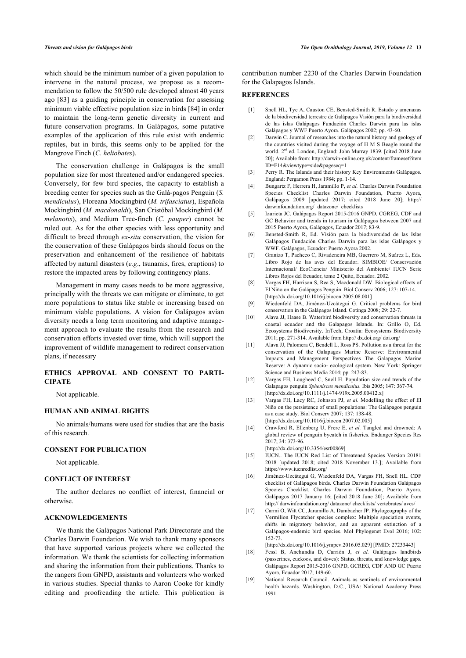<span id="page-12-0"></span>which should be the minimum number of a given population to intervene in the natural process, we propose as a recommendation to follow the 50/500 rule developed almost 40 years ago [\[83](#page-14-16)] as a guiding principle in conservation for assessing minimum viable effective population size in birds [\[84](#page-14-17)] in order to maintain the long-term genetic diversity in current and future conservation programs. In Galápagos, some putative examples of the application of this rule exist with endemic reptiles, but in birds, this seems only to be applied for the Mangrove Finch (*C. heliobates*).

<span id="page-12-4"></span><span id="page-12-3"></span><span id="page-12-2"></span><span id="page-12-1"></span>The conservation challenge in Galápagos is the small population size for most threatened and/or endangered species. Conversely, for few bird species, the capacity to establish a breeding center for species such as the Galá-pagos Penguin (*S. mendiculus*), Floreana Mockingbird (*M. trifasciatus*), Española Mockingbird (*M. macdonaldi*), San Cristóbal Mockingbird (*M. melanotis*), and Medium Tree-finch (*C. pauper*) cannot be ruled out. As for the other species with less opportunity and difficult to breed through *ex-situ* conservation, the vision for the conservation of these Galápagos birds should focus on the preservation and enhancement of the resilience of habitats affected by natural disasters (*e.g*., tsunamis, fires, eruptions) to restore the impacted areas by following contingency plans.

<span id="page-12-15"></span><span id="page-12-13"></span><span id="page-12-12"></span><span id="page-12-11"></span><span id="page-12-5"></span>Management in many cases needs to be more aggressive, principally with the threats we can mitigate or eliminate, to get more populations to status like stable or increasing based on minimum viable populations. A vision for Galápagos avian diversity needs a long term monitoring and adaptive management approach to evaluate the results from the research and conservation efforts invested over time, which will support the improvement of wildlife management to redirect conservation plans, if necessary

## <span id="page-12-17"></span>**ETHICS APPROVAL AND CONSENT TO PARTI-CIPATE**

Not applicable.

## <span id="page-12-16"></span>**HUMAN AND ANIMAL RIGHTS**

<span id="page-12-6"></span>No animals/humans were used for studies that are the basis of this research.

#### <span id="page-12-7"></span>**CONSENT FOR PUBLICATION**

Not applicable.

#### <span id="page-12-8"></span>**CONFLICT OF INTEREST**

The author declares no conflict of interest, financial or otherwise.

#### <span id="page-12-9"></span>**ACKNOWLEDGEMENTS**

<span id="page-12-14"></span><span id="page-12-10"></span>We thank the Galápagos National Park Directorate and the Charles Darwin Foundation. We wish to thank many sponsors that have supported various projects where we collected the information. We thank the scientists for collecting information and sharing the information from their publications. Thanks to the rangers from GNPD, assistants and volunteers who worked in various studies. Special thanks to Aaron Cooke for kindly editing and proofreading the article. This publication is

contribution number 2230 of the Charles Darwin Foundation for the Galapagos Islands.

## **REFERENCES**

- [1] Snell HL, Tye A, Causton CE, Bensted-Smith R. Estado y amenazas de la biodiversidad terrestre de Galápagos Visión para la biodiversidad de las islas Galápagos Fundación Charles Darwin para las islas Galápagos y WWF Puerto Ayora. Galápagos 2002; pp. 43-60.
- [2] Darwin C. Journal of researches into the natural history and geology of the countries visited during the voyage of H M S Beagle round the world. 2<sup>nd</sup> ed. London, England: John Murray 1839. [cited 2018 June 20]; Available from: [http://darwin-online.org.uk/content/frameset?item](http://darwin-online.org.uk/content/frameset?itemID=F14&viewtype=side&pageseq=1) [ID=F14&viewtype=side&pageseq=1](http://darwin-online.org.uk/content/frameset?itemID=F14&viewtype=side&pageseq=1)
- [3] Perry R. The Islands and their history Key Environments Galápagos. England: Pergamon Press 1984; pp. 1-14.
- [4] Bungartz F, Herrera H, Jaramillo P, *et al.* Charles Darwin Foundation Species Checklist Charles Darwin Foundation, Puerto Ayora, Galápagos 2009 [updated 2017; cited 2018 June 20]; [http://](http://darwinfoundation.org/datazone/checklists) [darwinfoundation.org/ datazone/ checklists](http://darwinfoundation.org/datazone/checklists)
- [5] Izurieta JC. Galápagos Report 2015-2016 GNPD, CGREG, CDF and GC Behavior and trends in tourism in Galápagos between 2007 and 2015 Puerto Ayora, Galápagos, Ecuador 2017; 83-9.
- [6] Bensted-Smith R, Ed. Visión para la biodiversidad de las Islas Galápagos Fundación Charles Darwin para las islas Galápagos y WWF. Galápagos, Ecuador: Puerto Ayora 2002.
- [7] Granizo T, Pacheco C, Rivadeneira MB, Guerrero M, Suárez L, Eds. Libro Rojo de las aves del Ecuador. SIMBIOE/ Conservación Internacional/ EcoCiencia/ Ministerio del Ambiente/ IUCN Serie Libros Rojos del Ecuador, tomo 2 Quito, Ecuador. 2002.
- [8] Vargas FH, Harrison S, Rea S, Macdonald DW. Biological effects of El Niño on the Galápagos Penguin. Biol Conserv 2006; 127: 107-14.  $[http://dx.doi.org/10.1016/i.biocon.2005.08.001]$
- [9] Wiedenfeld DA, Jiménez-Uzcátegui G. Critical problems for bird conservation in the Galápagos Island. Cotinga 2008; 29: 22-7.
- [10] Alava JJ, Haase B. Waterbird biodiversity and conservation threats in coastal ecuador and the Galapagos Islands. In: Grillo O, Ed. Ecosystems Biodiversity. InTech, Croatia: Ecosystems Biodiversity 2011; pp. 271-314. Available from [http:// dx.doi.org/ doi.org/](http://dx.doi.org/doi.org/)
- [11] Alava JJ, Palomera C, Bendell L, Ross PS. Pollution as a threat for the conservation of the Galapagos Marine Reserve: Environmental Impacts and Management Perspectives The Galapagos Marine Reserve: A dynamic socio- ecological system. New York: Springer Science and Business Media 2014; pp. 247-83.
- [12] Vargas FH, Lougheed C, Snell H. Population size and trends of the Galapagos penguin *Spheniscus mendiculus.* Ibis 2005; 147: 367-74. [\[http://dx.doi.org/10.1111/j.1474-919x.2005.00412.x\]](http://dx.doi.org/10.1111/j.1474-919x.2005.00412.x)
- [13] Vargas FH, Lacy RC, Johnson PJ, *et al.* Modelling the effect of El Niño on the persistence of small populations: The Galápagos penguin as a case study. Biol Conserv 2007; 137: 138-48. [\[http://dx.doi.org/10.1016/j.biocon.2007.02.005\]](http://dx.doi.org/10.1016/j.biocon.2007.02.005)
- [14] Crawford R, Ellenberg U, Frere E, et al. Tangled and drowned: A global review of penguin bycatch in fisheries. Endanger Species Res 2017; 34: 373-96.
	- [\[http://dx.doi.org/10.3354/esr00869](http://dx.doi.org/10.3354/esr00869)]
- [15] IUCN.. The IUCN Red List of Threatened Species Version 20181 2018 [updated 2018; cited 2018 November 13.]; Available from <https://www.iucnredlist.org/>
- [16] Jiménez-Uzcátegui G, Wiedenfeld DA, Vargas FH, Snell HL. CDF checklist of Galápagos birds. Charles Darwin Foundation Galápagos Species Checklist. Charles Darwin Foundation, Puerto Ayora, Galápagos 2017 January 16; [cited 2018 June 20]; Available from [http:// darwinfoundation.org/ datazone/ checklists/ vertebrates/ aves/](http://darwinfoundation.org/datazone/checklists/vertebrates/aves/)
- [17] Carmi O, Witt CC, Jaramillo A, Dumbacher JP. Phylogeography of the Vermilion Flycatcher species complex: Multiple speciation events, shifts in migratory behavior, and an apparent extinction of a Galápagos-endemic bird species. Mol Phylogenet Evol 2016; 102: 152-73.

[\[http://dx.doi.org/10.1016/j.ympev.2016.05.029\]](http://dx.doi.org/10.1016/j.ympev.2016.05.029) [PMID: [27233443\]](http://www.ncbi.nlm.nih.gov/pubmed/27233443)

- [18] Fessl B, Anchundia D, Carrión J, *et al.* Galápagos landbirds (passerines, cuckoos, and doves): Status, threats, and knowledge gaps. Galápagos Report 2015-2016 GNPD, GCREG, CDF AND GC Puerto Ayora, Ecuador 2017; 149-60.
- [19] National Research Council. Animals as sentinels of environmental health hazards. Washington, D.C., USA: National Academy Press 1991.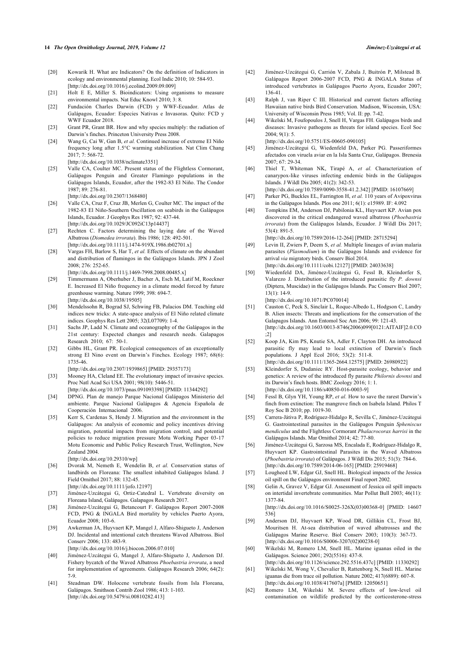- <span id="page-13-19"></span>[20] Kowarik H. What are Indicators? On the definition of Indicators in ecology and environmental planning. Ecol Indic 2010; 10: 584-93. [\[http://dx.doi.org/10.1016/j.ecolind.2009.09.009](http://dx.doi.org/10.1016/j.ecolind.2009.09.009)]
- <span id="page-13-20"></span>[21] Holt E E, Miller S. Bioindicators: Using organisms to measure environmental impacts. Nat Educ Knowl 2010; 3: 8.
- <span id="page-13-0"></span>[22] Fundación Charles Darwin (FCD) y WWF-Ecuador. Atlas de Galápagos, Ecuador: Especies Nativas e Invasoras. Quito: FCD y WWF Ecuador 2018.
- <span id="page-13-21"></span><span id="page-13-1"></span>[23] Grant PR, Grant BR. How and why species multiply: the radiation of Darwin's finches. Princeton University Press 2008.
- <span id="page-13-22"></span><span id="page-13-2"></span>[24] Wang G, Cai W, Gan B, *et al.* Continued increase of extreme El Niño frequency long after 1.5°C warming stabilization. Nat Clim Chang 2017; 7: 568-72. [\[http://dx.doi.org/10.1038/nclimate3351](http://dx.doi.org/10.1038/nclimate3351)]
- <span id="page-13-3"></span>[25] Valle CA, Coulter MC. Present status of the Flightless Cormorant, Galápagos Penguin and Greater Flamingo populations in the Galápagos Islands, Ecuador, after the 1982-83 El Niño. The Condor 1987; 89: 276-81.

[\[http://dx.doi.org/10.2307/1368480\]](http://dx.doi.org/10.2307/1368480)

- <span id="page-13-23"></span><span id="page-13-4"></span>[26] Valle CA, Cruz F, Cruz JB, Merlen G, Coulter MC. The impact of the 1982-83 El Niño-Southern Oscillation on seabirds in the Galápagos Islands, Ecuador. J Geophys Res 1987; 92: 437-44. [\[http://dx.doi.org/10.1029/JC092iC13p14437\]](http://dx.doi.org/10.1029/JC092iC13p14437)
- <span id="page-13-5"></span>[27] Rechten C. Factors determining the laying date of the Waved Albatross (*Diomedea irrorata*). Ibis 1986; 128: 492-501. [\[http://dx.doi.org/10.1111/j.1474-919X.1986.tb02701.x](http://dx.doi.org/10.1111/j.1474-919X.1986.tb02701.x)]
- <span id="page-13-24"></span><span id="page-13-6"></span>[28] Vargas FH, Barlow S, Har T, *et al.* Effects of climate on the abundant and distribution of flamingos in the Galápagos Islands. JPN J Zool 2008; 276: 252-65. [\[http://dx.doi.org/10.1111/j.1469-7998.2008.00485.x](http://dx.doi.org/10.1111/j.1469-7998.2008.00485.x)]
- <span id="page-13-25"></span><span id="page-13-7"></span>[29] Timmermann A, Oberhuber J, Bacher A, Esch M, Latif M, Roeckner E. Increased El Niño frequency in a climate model forced by future greenhouse warming. Nature 1999; 398: 694-7. [\[http://dx.doi.org/10.1038/19505\]](http://dx.doi.org/10.1038/19505)
- [30] Mendelssohn R, Bograd SJ, Schwing FB, Palacios DM. Teaching old indices new tricks: A state-space analysis of El Niño related climate indices. Geophys Res Lett 2005; 32(L07709): 1-4.
- <span id="page-13-8"></span>[31] Sachs JP, Ladd N. Climate and oceanography of the Galápagos in the 21st century: Expected changes and research needs. Galapagos Research 2010; 67: 50-1.
- <span id="page-13-9"></span>[32] Gibbs HL, Grant PR. Ecological consequences of an exceptionally strong El Nino event on Darwin's Finches. Ecology 1987; 68(6): 1735-46.
- <span id="page-13-32"></span><span id="page-13-10"></span>[\[http://dx.doi.org/10.2307/1939865\]](http://dx.doi.org/10.2307/1939865) [PMID: [29357173](http://www.ncbi.nlm.nih.gov/pubmed/29357173)] [33] Mooney HA, Cleland EE. The evolutionary impact of invasive species. Proc Natl Acad Sci USA 2001; 98(10): 5446-51.
- <span id="page-13-11"></span>[\[http://dx.doi.org/10.1073/pnas.091093398](http://dx.doi.org/10.1073/pnas.091093398)] [PMID: [11344292\]](http://www.ncbi.nlm.nih.gov/pubmed/11344292) [34] DPNG. Plan de manejo Parque Nacional Galápagos Ministerio del ambiente. Parque Nacional Galápagos & Agencia Española de Cooperación Internacional 2006.
- <span id="page-13-12"></span>[35] Kerr S, Cardenas S, Hendy J, Migration and the environment in the Galápagos: An analysis of economic and policy incentives driving migration, potential impacts from migration control, and potential policies to reduce migration pressure Motu Working Paper 03-17 Motu Economic and Public Policy Research Trust, Wellington, New Zealand 2004.

[\[http://dx.doi.org/10.29310/wp](http://dx.doi.org/10.29310/wp)]

- <span id="page-13-27"></span><span id="page-13-26"></span><span id="page-13-13"></span>[36] Dvorak M, Nemeth E, Wendelin B, *et al.* Conservation status of landbirds on Floreana: The smallest inhabited Galápagos Island. J Field Ornithol 2017; 88: 132-45. [\[http://dx.doi.org/10.1111/jofo.12197\]](http://dx.doi.org/10.1111/jofo.12197)
- <span id="page-13-28"></span><span id="page-13-14"></span>[37] Jiménez-Uzcátegui G, Ortiz-Catedral L. Vertebrate diversity on Floreana Island, Galápagos. Galapagos Research 2017.
- <span id="page-13-15"></span>[38] Jiménez-Uzcátegui G, Betancourt F. Galápagos Report 2007-2008 FCD, PNG & INGALA Bird mortality by vehicles Puerto Ayora, Ecuador 2008; 103-6.
- <span id="page-13-29"></span><span id="page-13-16"></span>[39] Awkerman JA, Huyvaert KP, Mangel J, Alfaro-Shigueto J, Anderson DJ. Incidental and intentional catch threatens Waved Albatross. Biol Conserv 2006; 133: 483-9.

[\[http://dx.doi.org/10.1016/j.biocon.2006.07.010\]](http://dx.doi.org/10.1016/j.biocon.2006.07.010)

- <span id="page-13-30"></span><span id="page-13-17"></span>[40] Jiménez-Uzcátegui G, Mangel J, Alfaro-Shigueto J, Anderson DJ. Fishery bycatch of the Waved Albatross *Phoebastria irrorata*, a need for implementation of agreements. Galápagos Research 2006; 64(2): 7-9.
- <span id="page-13-31"></span><span id="page-13-18"></span>[41] Steadman DW. Holocene vertebrate fossils from Isla Floreana, Galápagos. Smithson Contrib Zool 1986; 413: 1-103. [\[http://dx.doi.org/10.5479/si.00810282.413\]](http://dx.doi.org/10.5479/si.00810282.413)
- [42] Jiménez-Uzcátegui G, Carrión V, Zabala J, Buitrón P, Milstead B.
- Galápagos Report 2006-2007 FCD, PNG & INGALA Status of introduced vertebrates in Galápagos Puerto Ayora, Ecuador 2007; 136-41.
- [43] Ralph J, van Riper C III. Historical and current factors affecting Hawaiian native birds Bird Conservation. Madison, Wisconsin, USA: University of Wisconsin Press 1985; Vol. II: pp. 7-42.
- [44] Wikelski M, Foufopoulos J, Snell H, Vargas FH. Galápagos birds and diseases: Invasive pathogens as threats for island species. Ecol Soc  $2004:9(1):5$ [\[http://dx.doi.org/10.5751/ES-00605-090105\]](http://dx.doi.org/10.5751/ES-00605-090105)

- [45] Jiménez-Uzcátegui G, Wiedenfeld DA, Parker PG. Passeriformes afectados con viruela aviar en la Isla Santa Cruz, Galápagos. Brenesia 2007; 67: 29-34.
- [46] Thiel T, Whiteman NK, Tirapé A, *et al.* Characterization of canarypox-like viruses infecting endemic birds in the Galápagos Islands. J Wildl Dis 2005; 41(2): 342-53.
- [\[http://dx.doi.org/10.7589/0090-3558-41.2.342\]](http://dx.doi.org/10.7589/0090-3558-41.2.342) [PMID: [16107669](http://www.ncbi.nlm.nih.gov/pubmed/16107669)] [47] Parker PG, Buckles EL, Farrington H, *et al.* 110 years of Avipoxvirus in the Galápagos Islands. Plos one 2011; 6(1): e15989. IF: 4.092
- [48] Tompkins EM, Anderson DJ, Pabilonia KL, Huyvaert KP. Avian pox discovered in the critical endangered waved albatross (*Phoebastria irrorata*) from the Galápagos Islands, Ecuador. J Wildl Dis 2017; 53(4): 891-5.

[\[http://dx.doi.org/10.7589/2016-12-264\]](http://dx.doi.org/10.7589/2016-12-264) [PMID: [28715294](http://www.ncbi.nlm.nih.gov/pubmed/28715294)]

- [49] Levin II, Zwiers P, Deem S, *et al.* Multiple lineages of avian malaria parasites (*Plasmodium*) in the Galápagos Islands and evidence for arrival *via* migratory birds. Conserv Biol 2014. [\[http://dx.doi.org/10.1111/cobi.12127\]](http://dx.doi.org/10.1111/cobi.12127) [PMID: [24033638](http://www.ncbi.nlm.nih.gov/pubmed/24033638)]
- [50] Wiedenfeld DA, Jiménez-Uzcátegui G, Fessl B, Kleindorfer S, Valarezo J. Distribution of the introduced parasitic fly *P. downsi* (Diptera, Muscidae) in the Galápagos Islands. Pac Conserv Biol 2007;  $13(1): 14-9$

[\[http://dx.doi.org/10.1071/PC070014](http://dx.doi.org/10.1071/PC070014)]

- [51] Causton C, Peck S, Sinclair L, Roque-Albedo L, Hodgson C, Landry B. Alien insects: Threats and implications for the conservation of the Galapagos Islands. Ann Entomol Soc Am 2006; 99: 121-43. [\[http://dx.doi.org/10.1603/0013-8746\(2006\)099\[0121:AITAIF\]2.0.CO](http://dx.doi.org/10.1603/0013-8746(2006)099%5B0121:AITAIF%5D2.0.CO;2) [;2](http://dx.doi.org/10.1603/0013-8746(2006)099%5B0121:AITAIF%5D2.0.CO;2)]
- [52] Koop JA, Kim PS, Knutie SA, Adler F, Clayton DH. An introduced parasitic fly may lead to local extinction of Darwin's finch populations. J Appl Ecol 2016; 53(2): 511-8. [\[http://dx.doi.org/10.1111/1365-2664.12575](http://dx.doi.org/10.1111/1365-2664.12575)] [PMID: [26980922\]](http://www.ncbi.nlm.nih.gov/pubmed/26980922)
- [53] Kleindorfer S, Dudaniec RY. Host-parasite ecology, behavior and genetics: A review of the introduced fly parasite *Philornis downsi* and its Darwin's finch hosts. BMC Zoology 2016; 1: 1. [\[http://dx.doi.org/10.1186/s40850-016-0003-9\]](http://dx.doi.org/10.1186/s40850-016-0003-9)
- [54] Fessl B, Glyn YH, Young RP, *et al.* How to save the rarest Darwin's finch from extinction: The mangrove finch on Isabela Island. Philos T Roy Soc B 2010; pp. 1019-30.
- [55] Carrera-Játiva P, Rodríguez-Hidalgo R, Sevilla C, Jiménez-Uzcátegui G. Gastrointestinal parasites in the Galápagos Penguin *Spheniscus mendiculus* and the Flightless Cormorant *Phalacrocorax harrisi* in the Galápagos Islands. Mar Ornithol 2014; 42: 77-80.
- [56] Jiménez-Uzcátegui G, Sarzosa MS, Encalada E, Rodríguez-Hidalgo R, Huyvaert KP. Gastrointestinal Parasites in the Waved Albatross (*Phoebastria irrorata*) of Galápagos. J Wildl Dis 2015; 51(3): 784-6. [\[http://dx.doi.org/10.7589/2014-06-165\]](http://dx.doi.org/10.7589/2014-06-165) [PMID: [25919468](http://www.ncbi.nlm.nih.gov/pubmed/25919468)]
- [57] Lougheed LW, Edgar GJ, Snell HL. Biological impacts of the Jessica oil spill on the Galápagos environment Final report 2002.
- [58] Gelin A, Gravez V, Edgar GJ. Assessment of Jessica oil spill impacts on intertidal invertebrate communities. Mar Pollut Bull 2003; 46(11): 1377-84.

[\[http://dx.doi.org/10.1016/S0025-326X\(03\)00368-0\]](http://dx.doi.org/10.1016/S0025-326X(03)00368-0) [PMID: [14607](http://www.ncbi.nlm.nih.gov/pubmed/14607%20536) [536](http://www.ncbi.nlm.nih.gov/pubmed/14607%20536)]

- [59] Anderson DJ, Huyvaert KP, Wood DR, Gillikin CL, Frost BJ, Mouritsen H. At-sea distribution of waved albatrosses and the Galápagos Marine Reserve. Biol Conserv 2003; 110(3): 367-73. [\[http://dx.doi.org/10.1016/S0006-3207\(02\)00238-0\]](http://dx.doi.org/10.1016/S0006-3207(02)00238-0)
- [60] Wikelski M, Romero LM, Snell HL. Marine iguanas oiled in the Galápagos. Science 2001; 292(5516): 437-8.
- [\[http://dx.doi.org/10.1126/science.292.5516.437c](http://dx.doi.org/10.1126/science.292.5516.437c)] [PMID: [11330292](http://www.ncbi.nlm.nih.gov/pubmed/11330292)] [61] Wikelski M, Wong V, Chevalier B, Rattenborg N, Snell HL. Marine iguanas die from trace oil pollution. Nature 2002; 417(6889): 607-8. [\[http://dx.doi.org/10.1038/417607a\]](http://dx.doi.org/10.1038/417607a) [PMID: [12050651](http://www.ncbi.nlm.nih.gov/pubmed/12050651)]
- [62] Romero LM, Wikelski M. Severe effects of low-level oil contamination on wildlife predicted by the corticosterone-stress